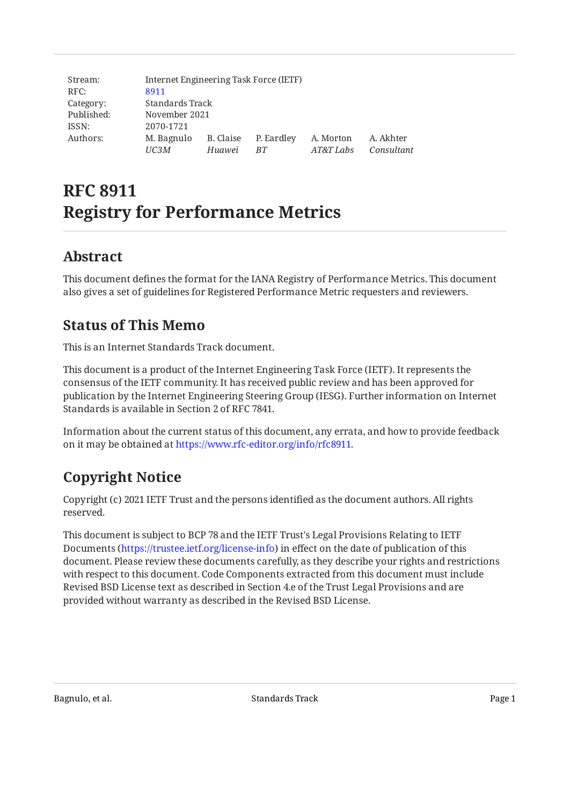| Stream:    | Internet Engineering Task Force (IETF) |           |            |           |            |
|------------|----------------------------------------|-----------|------------|-----------|------------|
| RFC:       | 8911                                   |           |            |           |            |
| Category:  | Standards Track                        |           |            |           |            |
| Published: | November 2021                          |           |            |           |            |
| ISSN:      | 2070-1721                              |           |            |           |            |
| Authors:   | M. Bagnulo                             | B. Claise | P. Eardley | A. Morton | A. Akhter  |
|            | UC3M                                   | Huawei    | BT.        | AT&T Labs | Consultant |

# **RFC 8911 Registry for Performance Metrics**

## <span id="page-0-0"></span>**[Abstract](#page-0-0)**

<span id="page-0-1"></span>This document defines the format for the IANA Registry of Performance Metrics. This document also gives a set of guidelines for Registered Performance Metric requesters and reviewers.

## **[Status of This Memo](#page-0-1)**

This is an Internet Standards Track document.

This document is a product of the Internet Engineering Task Force (IETF). It represents the consensus of the IETF community. It has received public review and has been approved for publication by the Internet Engineering Steering Group (IESG). Further information on Internet Standards is available in Section 2 of RFC 7841.

Information about the current status of this document, any errata, and how to provide feedback on it may be obtained at [https://www.rfc-editor.org/info/rfc8911.](https://www.rfc-editor.org/info/rfc8911)

## <span id="page-0-2"></span>**[Copyright Notice](#page-0-2)**

Copyright (c) 2021 IETF Trust and the persons identified as the document authors. All rights reserved.

This document is subject to BCP 78 and the IETF Trust's Legal Provisions Relating to IETF Documents (<https://trustee.ietf.org/license-info>) in effect on the date of publication of this document. Please review these documents carefully, as they describe your rights and restrictions with respect to this document. Code Components extracted from this document must include Revised BSD License text as described in Section 4.e of the Trust Legal Provisions and are provided without warranty as described in the Revised BSD License.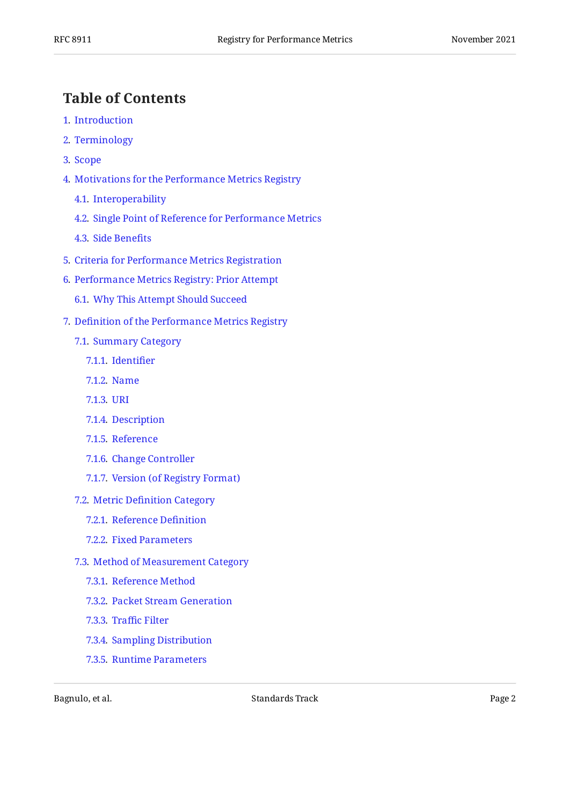## <span id="page-1-0"></span>**[Table of Contents](#page-1-0)**

- [1](#page-4-0). [Introduction](#page-4-0)
- [2](#page-5-0). [Terminology](#page-5-0)
- [3](#page-6-0). [Scope](#page-6-0)
- [4](#page-7-0). [Motivations for the Performance Metrics Registry](#page-7-0)
	- [4.1.](#page-7-1) [Interoperability](#page-7-1)
	- [4.2.](#page-8-0) [Single Point of Reference for Performance Metrics](#page-8-0)
	- [4.3.](#page-8-1) [Side Bene](#page-8-1)fits
- [5](#page-8-2). [Criteria for Performance Metrics Registration](#page-8-2)
- [6](#page-9-0). [Performance Metrics Registry: Prior Attempt](#page-9-0)
	- [6.1.](#page-9-1) [Why This Attempt Should Succeed](#page-9-1)
- [7](#page-10-0). Defi[nition of the Performance Metrics Registry](#page-10-0)
	- [7.1.](#page-11-0) [Summary Category](#page-11-0)
		- [7.1.1](#page-11-1). [Identi](#page-11-1)fier
		- [7.1.2](#page-12-0). [Name](#page-12-0)
		- [7.1.3](#page-15-0). [URI](#page-15-0)
		- [7.1.4](#page-16-0). [Description](#page-16-0)
		- [7.1.5](#page-16-1). [Reference](#page-16-1)
		- [7.1.6](#page-16-2). [Change Controller](#page-16-2)
		- [7.1.7](#page-16-3). [Version \(of Registry Format\)](#page-16-3)
	- [7.2.](#page-16-4) Metric Defi[nition Category](#page-16-4)
		- [7.2.1](#page-16-5). [Reference De](#page-16-5)finition
		- [7.2.2](#page-16-6). [Fixed Parameters](#page-16-6)
	- [7.3.](#page-17-0) [Method of Measurement Category](#page-17-0)
		- [7.3.1](#page-17-1). [Reference Method](#page-17-1)
		- [7.3.2](#page-17-2). [Packet Stream Generation](#page-17-2)
		- [7.3.3](#page-18-0). Traffi[c Filter](#page-18-0)
		- [7.3.4](#page-18-1). [Sampling Distribution](#page-18-1)
		- [7.3.5](#page-19-0). [Runtime Parameters](#page-19-0)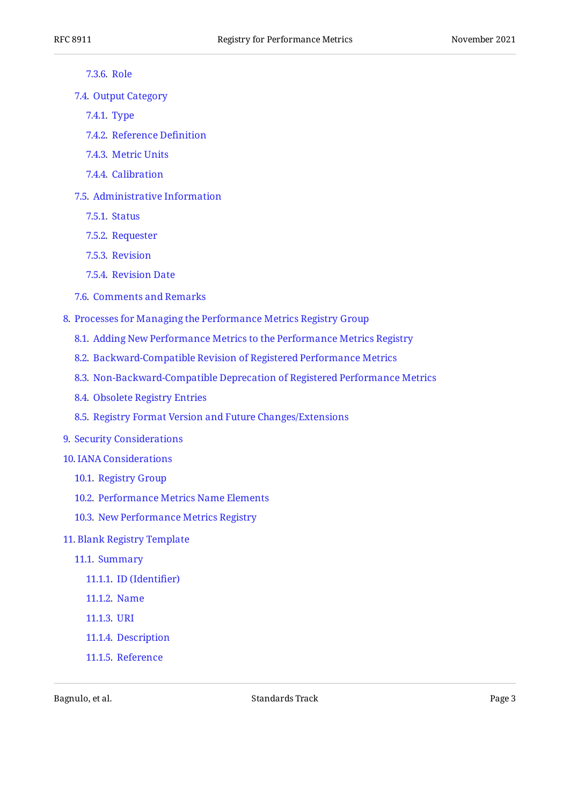- [7.3.6](#page-19-1). [Role](#page-19-1)
- [7.4.](#page-20-0) [Output Category](#page-20-0)
	- [7.4.1](#page-20-1). [Type](#page-20-1)
	- [7.4.2](#page-20-2). [Reference De](#page-20-2)finition
	- [7.4.3](#page-20-3). [Metric Units](#page-20-3)
	- [7.4.4](#page-20-4). [Calibration](#page-20-4)
- [7.5.](#page-21-0) [Administrative Information](#page-21-0)
	- [7.5.1](#page-21-1). [Status](#page-21-1)
	- [7.5.2](#page-21-2). [Requester](#page-21-2)
	- [7.5.3](#page-21-3). [Revision](#page-21-3)
	- [7.5.4](#page-21-4). [Revision Date](#page-21-4)
- [7.6.](#page-21-5) [Comments and Remarks](#page-21-5)
- [8](#page-21-6). [Processes for Managing the Performance Metrics Registry Group](#page-21-6)
	- [8.1.](#page-22-0) [Adding New Performance Metrics to the Performance Metrics Registry](#page-22-0)
	- [8.2.](#page-23-0) [Backward-Compatible Revision of Registered Performance Metrics](#page-23-0)
	- [8.3.](#page-24-0) [Non-Backward-Compatible Deprecation of Registered Performance Metrics](#page-24-0)
	- [8.4.](#page-25-0) [Obsolete Registry Entries](#page-25-0)
	- [8.5.](#page-25-1) [Registry Format Version and Future Changes/Extensions](#page-25-1)
- [9](#page-26-0). [Security Considerations](#page-26-0)
- [10](#page-26-1). [IANA Considerations](#page-26-1)
	- [10.1.](#page-26-2) [Registry Group](#page-26-2)
	- [10.2.](#page-27-0) [Performance Metrics Name Elements](#page-27-0)
	- [10.3.](#page-27-1) [New Performance Metrics Registry](#page-27-1)
- [11](#page-28-0). [Blank Registry Template](#page-28-0)
	- [11.1.](#page-29-0) [Summary](#page-29-0)
		- [11.1.1.](#page-29-1) [ID \(Identi](#page-29-1)fier)
		- [11.1.2.](#page-29-2) [Name](#page-29-2)
		- [11.1.3.](#page-29-3) [URI](#page-29-3)
		- [11.1.4.](#page-29-4) [Description](#page-29-4)
		- [11.1.5.](#page-29-5) [Reference](#page-29-5)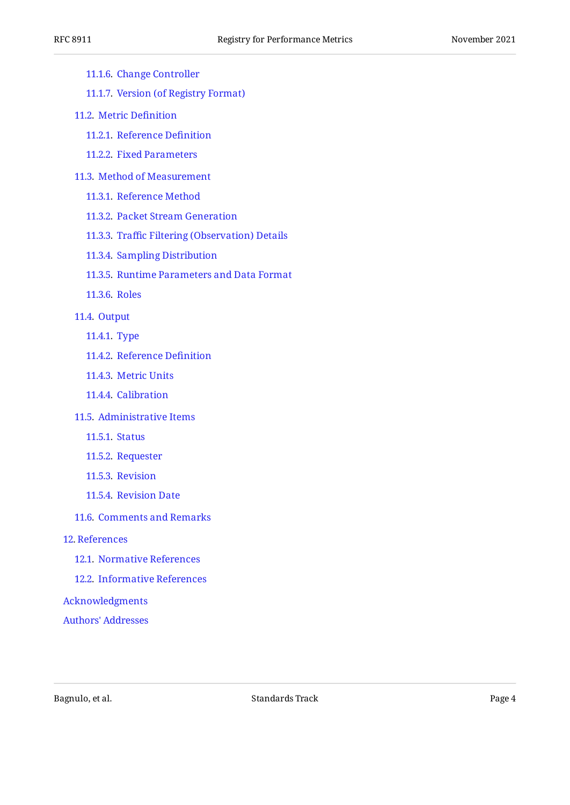| <b>RFC 8911</b>                      | Registry for Performance Metrics                | November 2021 |
|--------------------------------------|-------------------------------------------------|---------------|
| 11.1.6. Change Controller            |                                                 |               |
| 11.1.7. Version (of Registry Format) |                                                 |               |
| 11.2. Metric Definition              |                                                 |               |
| 11.2.1. Reference Definition         |                                                 |               |
| 11.2.2. Fixed Parameters             |                                                 |               |
| 11.3. Method of Measurement          |                                                 |               |
| 11.3.1. Reference Method             |                                                 |               |
| 11.3.2. Packet Stream Generation     |                                                 |               |
|                                      | 11.3.3. Traffic Filtering (Observation) Details |               |
| 11.3.4. Sampling Distribution        |                                                 |               |
|                                      | 11.3.5. Runtime Parameters and Data Format      |               |
| 11.3.6. Roles                        |                                                 |               |
| 11.4. Output                         |                                                 |               |
| 11.4.1. Type                         |                                                 |               |
| 11.4.2. Reference Definition         |                                                 |               |
| 11.4.3. Metric Units                 |                                                 |               |
| 11.4.4. Calibration                  |                                                 |               |
| 11.5. Administrative Items           |                                                 |               |
| 11.5.1. Status                       |                                                 |               |
| 11.5.2. Requester                    |                                                 |               |
| 11.5.3. Revision                     |                                                 |               |
| 11.5.4. Revision Date                |                                                 |               |
| 11.6. Comments and Remarks           |                                                 |               |
| 12. References                       |                                                 |               |
| 12.1. Normative References           |                                                 |               |
| 12.2. Informative References         |                                                 |               |
| Acknowledgments                      |                                                 |               |
| <b>Authors' Addresses</b>            |                                                 |               |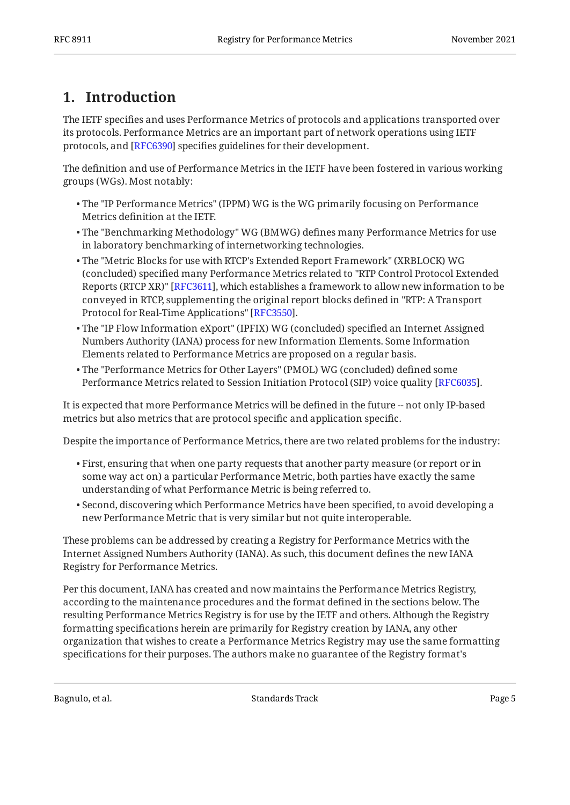## <span id="page-4-0"></span>**[1. Introduction](#page-4-0)**

The IETF specifies and uses Performance Metrics of protocols and applications transported over its protocols. Performance Metrics are an important part of network operations using IETF protocols, and [\[RFC6390\]](#page-31-7) specifies guidelines for their development.

The definition and use of Performance Metrics in the IETF have been fostered in various working groups (WGs). Most notably:

- The "IP Performance Metrics" (IPPM) WG is the WG primarily focusing on Performance Metrics definition at the IETF.
- The "Benchmarking Methodology" WG (BMWG) defines many Performance Metrics for use in laboratory benchmarking of internetworking technologies.
- The "Metric Blocks for use with RTCP's Extended Report Framework" (XRBLOCK) WG (concluded) specified many Performance Metrics related to "RTP Control Protocol Extended Reports (RTCP XR)" [RFC3611], which establishes a framework to allow new information to be conveyed in RTCP, supplementing the original report blocks defined in "RTP: A Transport Protocol for Real-Time Applications" [RFC3550].
- The "IP Flow Information eXport" (IPFIX) WG (concluded) specified an Internet Assigned Numbers Authority (IANA) process for new Information Elements. Some Information Elements related to Performance Metrics are proposed on a regular basis.
- The "Performance Metrics for Other Layers" (PMOL) WG (concluded) defined some Performance Metrics related to Session Initiation Protocol (SIP) voice quality [RFC6035].

It is expected that more Performance Metrics will be defined in the future -- not only IP-based metrics but also metrics that are protocol specific and application specific.

Despite the importance of Performance Metrics, there are two related problems for the industry:

- $\bullet$  First, ensuring that when one party requests that another party measure (or report or in some way act on) a particular Performance Metric, both parties have exactly the same understanding of what Performance Metric is being referred to.
- $\bullet$  Second, discovering which Performance Metrics have been specified, to avoid developing a new Performance Metric that is very similar but not quite interoperable.

These problems can be addressed by creating a Registry for Performance Metrics with the Internet Assigned Numbers Authority (IANA). As such, this document defines the new IANA Registry for Performance Metrics.

Per this document, IANA has created and now maintains the Performance Metrics Registry, according to the maintenance procedures and the format defined in the sections below. The resulting Performance Metrics Registry is for use by the IETF and others. Although the Registry formatting specifications herein are primarily for Registry creation by IANA, any other organization that wishes to create a Performance Metrics Registry may use the same formatting specifications for their purposes. The authors make no guarantee of the Registry format's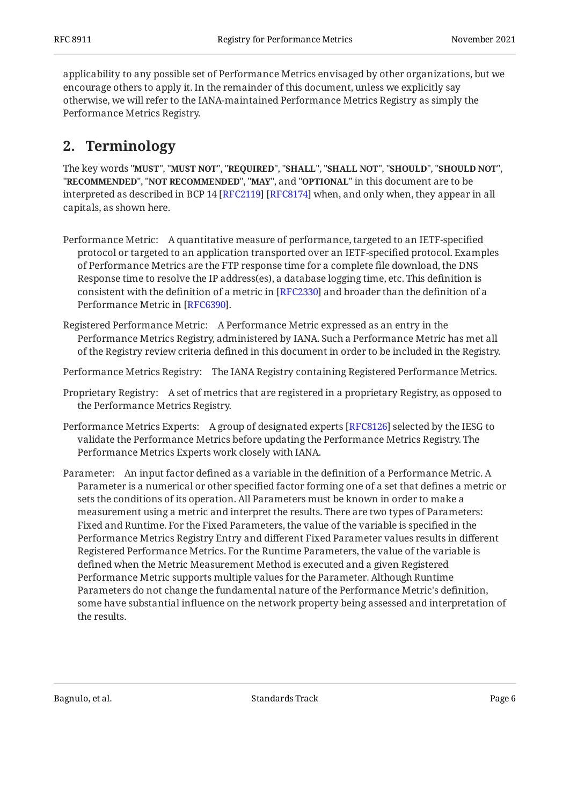applicability to any possible set of Performance Metrics envisaged by other organizations, but we encourage others to apply it. In the remainder of this document, unless we explicitly say otherwise, we will refer to the IANA-maintained Performance Metrics Registry as simply the Performance Metrics Registry.

## <span id="page-5-0"></span>**[2. Terminology](#page-5-0)**

The key words "MUST", "MUST NOT", "REQUIRED", "SHALL", "SHALL NOT", "SHOULD", "SHOULD NOT", "**RECOMMENDED", "NOT RECOMMENDED", "MAY",** and "OPTIONAL" in this document are to be interpreted as described in BCP 14 [RFC2119] [RFC8174] when, and only when, they appear in all capitals, as shown here.

- Performance Metric: A quantitative measure of performance, targeted to an IETF-specified protocol or targeted to an application transported over an IETF-specified protocol. Examples of Performance Metrics are the FTP response time for a complete file download, the DNS Response time to resolve the IP address(es), a database logging time, etc. This definition is consistent with the definition of a metric in [RFC2330] and broader than the definition of a Performance Metric in [RFC6390].
- Registered Performance Metric: A Performance Metric expressed as an entry in the Performance Metrics Registry, administered by IANA. Such a Performance Metric has met all of the Registry review criteria defined in this document in order to be included in the Registry.
- Performance Metrics Registry: The IANA Registry containing Registered Performance Metrics.
- Proprietary Registry: A set of metrics that are registered in a proprietary Registry, as opposed to the Performance Metrics Registry.
- Performance Metrics Experts: A group of designated experts [RFC8126] selected by the IESG to validate the Performance Metrics before updating the Performance Metrics Registry. The Performance Metrics Experts work closely with IANA.
- Parameter: An input factor defined as a variable in the definition of a Performance Metric. A Parameter is a numerical or other specified factor forming one of a set that defines a metric or sets the conditions of its operation. All Parameters must be known in order to make a measurement using a metric and interpret the results. There are two types of Parameters: Fixed and Runtime. For the Fixed Parameters, the value of the variable is specified in the Performance Metrics Registry Entry and different Fixed Parameter values results in different Registered Performance Metrics. For the Runtime Parameters, the value of the variable is defined when the Metric Measurement Method is executed and a given Registered Performance Metric supports multiple values for the Parameter. Although Runtime Parameters do not change the fundamental nature of the Performance Metric's definition, some have substantial influence on the network property being assessed and interpretation of the results.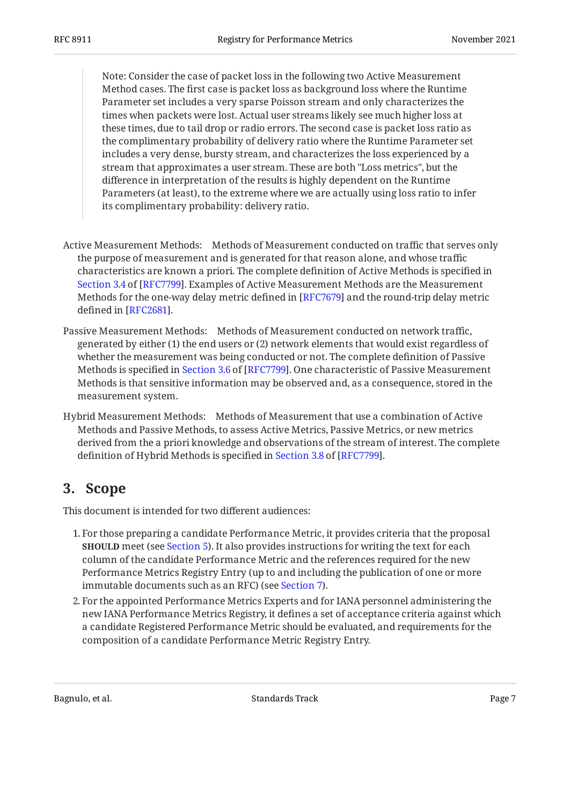Note: Consider the case of packet loss in the following two Active Measurement Method cases. The first case is packet loss as background loss where the Runtime Parameter set includes a very sparse Poisson stream and only characterizes the times when packets were lost. Actual user streams likely see much higher loss at these times, due to tail drop or radio errors. The second case is packet loss ratio as the complimentary probability of delivery ratio where the Runtime Parameter set includes a very dense, bursty stream, and characterizes the loss experienced by a stream that approximates a user stream. These are both "Loss metrics", but the difference in interpretation of the results is highly dependent on the Runtime Parameters (at least), to the extreme where we are actually using loss ratio to infer its complimentary probability: delivery ratio.

- Active Measurement Methods: Methods of Measurement conducted on traffic that serves only the purpose of measurement and is generated for that reason alone, and whose traffic characteristics are known a priori. The complete definition of Active Methods is specified in [Section 3.4](https://www.rfc-editor.org/rfc/rfc7799#section-3.4) of [\[RFC7799\]](#page-32-6). Examples of Active Measurement Methods are the Measurement Methods for the one-way delay metric defined in [RFC7679] and the round-trip delay metric defined in [RFC2681].
- Passive Measurement Methods: Methods of Measurement conducted on network traffic, generated by either (1) the end users or (2) network elements that would exist regardless of whether the measurement was being conducted or not. The complete definition of Passive Methodsis specified in Section 3.6 of [RFC7799]. One characteristic of Passive Measurement Methods is that sensitive information may be observed and, as a consequence, stored in the measurement system.
- Hybrid Measurement Methods: Methods of Measurement that use a combination of Active Methods and Passive Methods, to assess Active Metrics, Passive Metrics, or new metrics derived from the a priori knowledge and observations of the stream of interest. The complete definitionof Hybrid Methods is specified in Section 3.8 of [RFC7799].

## <span id="page-6-0"></span>**[3. Scope](#page-6-0)**

This document is intended for two different audiences:

- For those preparing a candidate Performance Metric, it provides criteria that the proposal 1. **SHOULD** meet (see [Section 5](#page-8-2)). It also provides instructions for writing the text for each column of the candidate Performance Metric and the references required for the new Performance Metrics Registry Entry (up to and including the publication of one or more immutable documents such as an RFC) (see [Section 7\)](#page-10-0).
- 2. For the appointed Performance Metrics Experts and for IANA personnel administering the new IANA Performance Metrics Registry, it defines a set of acceptance criteria against which a candidate Registered Performance Metric should be evaluated, and requirements for the composition of a candidate Performance Metric Registry Entry.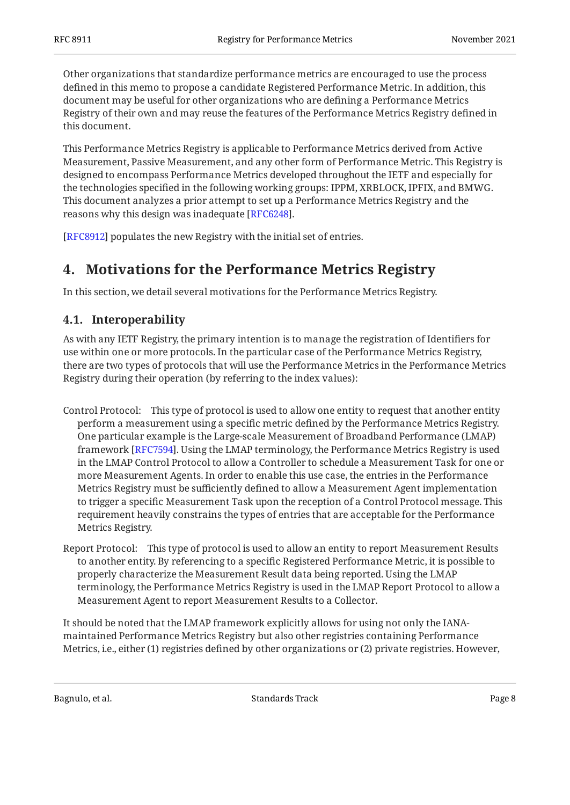Other organizations that standardize performance metrics are encouraged to use the process defined in this memo to propose a candidate Registered Performance Metric. In addition, this document may be useful for other organizations who are defining a Performance Metrics Registry of their own and may reuse the features of the Performance Metrics Registry defined in this document.

This Performance Metrics Registry is applicable to Performance Metrics derived from Active Measurement, Passive Measurement, and any other form of Performance Metric. This Registry is designed to encompass Performance Metrics developed throughout the IETF and especially for the technologies specified in the following working groups: IPPM, XRBLOCK, IPFIX, and BMWG. This document analyzes a prior attempt to set up a Performance Metrics Registry and the reasons why this design was inadequate [RFC6248].

<span id="page-7-0"></span>[[RFC8912\]](#page-33-3) populates the new Registry with the initial set of entries.

## **[4. Motivations for the Performance Metrics Registry](#page-7-0)**

<span id="page-7-1"></span>In this section, we detail several motivations for the Performance Metrics Registry.

### **[4.1. Interoperability](#page-7-1)**

As with any IETF Registry, the primary intention is to manage the registration of Identifiers for use within one or more protocols. In the particular case of the Performance Metrics Registry, there are two types of protocols that will use the Performance Metrics in the Performance Metrics Registry during their operation (by referring to the index values):

- Control Protocol: This type of protocol is used to allow one entity to request that another entity perform a measurement using a specific metric defined by the Performance Metrics Registry. One particular example is the Large-scale Measurement of Broadband Performance (LMAP) framework [RFC7594]. Using the LMAP terminology, the Performance Metrics Registry is used in the LMAP Control Protocol to allow a Controller to schedule a Measurement Task for one or more Measurement Agents. In order to enable this use case, the entries in the Performance Metrics Registry must be sufficiently defined to allow a Measurement Agent implementation to trigger a specific Measurement Task upon the reception of a Control Protocol message. This requirement heavily constrains the types of entries that are acceptable for the Performance Metrics Registry.
- Report Protocol: This type of protocol is used to allow an entity to report Measurement Results to another entity. By referencing to a specific Registered Performance Metric, it is possible to properly characterize the Measurement Result data being reported. Using the LMAP terminology, the Performance Metrics Registry is used in the LMAP Report Protocol to allow a Measurement Agent to report Measurement Results to a Collector.

It should be noted that the LMAP framework explicitly allows for using not only the IANAmaintained Performance Metrics Registry but also other registries containing Performance Metrics, i.e., either (1) registries defined by other organizations or (2) private registries. However,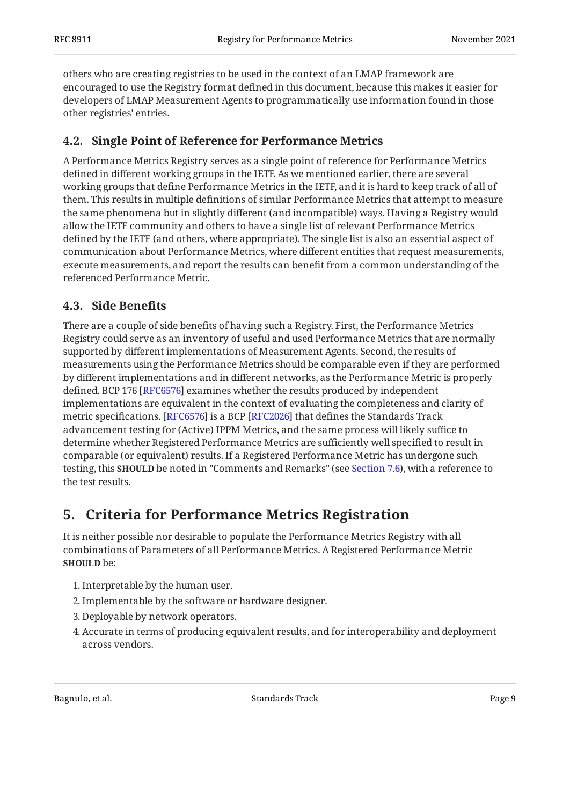others who are creating registries to be used in the context of an LMAP framework are encouraged to use the Registry format defined in this document, because this makes it easier for developers of LMAP Measurement Agents to programmatically use information found in those other registries' entries.

### <span id="page-8-0"></span>**[4.2. Single Point of Reference for Performance Metrics](#page-8-0)**

A Performance Metrics Registry serves as a single point of reference for Performance Metrics defined in different working groups in the IETF. As we mentioned earlier, there are several working groups that define Performance Metrics in the IETF, and it is hard to keep track of all of them. This results in multiple definitions of similar Performance Metrics that attempt to measure the same phenomena but in slightly different (and incompatible) ways. Having a Registry would allow the IETF community and others to have a single list of relevant Performance Metrics defined by the IETF (and others, where appropriate). The single list is also an essential aspect of communication about Performance Metrics, where different entities that request measurements, execute measurements, and report the results can benefit from a common understanding of the referenced Performance Metric.

### <span id="page-8-1"></span>**[4.3. Side Bene](#page-8-1)fits**

There are a couple of side benefits of having such a Registry. First, the Performance Metrics Registry could serve as an inventory of useful and used Performance Metrics that are normally supported by different implementations of Measurement Agents. Second, the results of measurements using the Performance Metrics should be comparable even if they are performed by different implementations and in different networks, as the Performance Metric is properly defined. BCP 176 [RFC6576] examines whether the results produced by independent implementations are equivalent in the context of evaluating the completeness and clarity of metric specifications. [[RFC6576\]](#page-31-10) is a BCP [\[RFC2026](#page-31-11)] that defines the Standards Track advancement testing for (Active) IPPM Metrics, and the same process will likely suffice to determine whether Registered Performance Metrics are sufficiently well specified to result in comparable (or equivalent) results. If a Registered Performance Metric has undergone such testing, this **SHOULD** be noted in "Comments and Remarks" (see [Section 7.6](#page-21-5)), with a reference to the test results.

## <span id="page-8-2"></span>**[5. Criteria for Performance Metrics Registration](#page-8-2)**

It is neither possible nor desirable to populate the Performance Metrics Registry with all combinations of Parameters of all Performance Metrics. A Registered Performance Metric **SHOULD** be:

- 1. Interpretable by the human user.
- Implementable by the software or hardware designer. 2.
- 3. Deployable by network operators.
- Accurate in terms of producing equivalent results, and for interoperability and deployment 4. across vendors.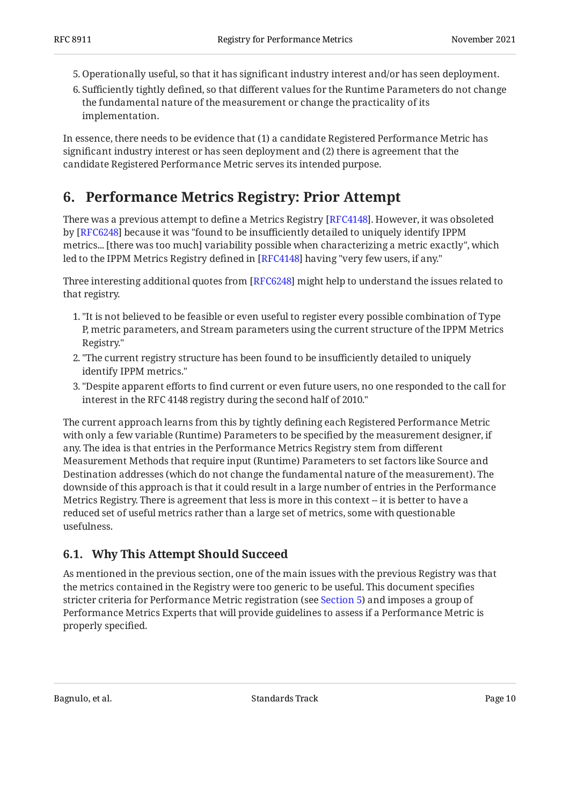- 5. Operationally useful, so that it has significant industry interest and/or has seen deployment.
- 6. Sufficiently tightly defined, so that different values for the Runtime Parameters do not change the fundamental nature of the measurement or change the practicality of its implementation.

In essence, there needs to be evidence that (1) a candidate Registered Performance Metric has significant industry interest or has seen deployment and (2) there is agreement that the candidate Registered Performance Metric serves its intended purpose.

## <span id="page-9-0"></span>**[6. Performance Metrics Registry: Prior Attempt](#page-9-0)**

There was a previous attempt to define a Metrics Registry [RFC4148]. However, it was obsoleted by [RFC6248] because it was "found to be insufficiently detailed to uniquely identify IPPM metrics... [there was too much] variability possible when characterizing a metric exactly", which led to the IPPM Metrics Registry defined in [RFC4148] having "very few users, if any."

Three interesting additional quotes from [RFC6248] might help to understand the issues related to that registry.

- "It is not believed to be feasible or even useful to register every possible combination of Type 1. P, metric parameters, and Stream parameters using the current structure of the IPPM Metrics Registry."
- "The current registry structure has been found to be insufficiently detailed to uniquely 2. identify IPPM metrics."
- "Despite apparent efforts to find current or even future users, no one responded to the call for 3. interest in the RFC 4148 registry during the second half of 2010."

The current approach learns from this by tightly defining each Registered Performance Metric with only a few variable (Runtime) Parameters to be specified by the measurement designer, if any. The idea is that entries in the Performance Metrics Registry stem from different Measurement Methods that require input (Runtime) Parameters to set factors like Source and Destination addresses (which do not change the fundamental nature of the measurement). The downside of this approach is that it could result in a large number of entries in the Performance Metrics Registry. There is agreement that less is more in this context -- it is better to have a reduced set of useful metrics rather than a large set of metrics, some with questionable usefulness.

### <span id="page-9-1"></span>**[6.1. Why This Attempt Should Succeed](#page-9-1)**

As mentioned in the previous section, one of the main issues with the previous Registry was that the metrics contained in the Registry were too generic to be useful. This document specifies stricter criteria for Performance Metric registration (see [Section 5\)](#page-8-2) and imposes a group of Performance Metrics Experts that will provide guidelines to assess if a Performance Metric is properly specified.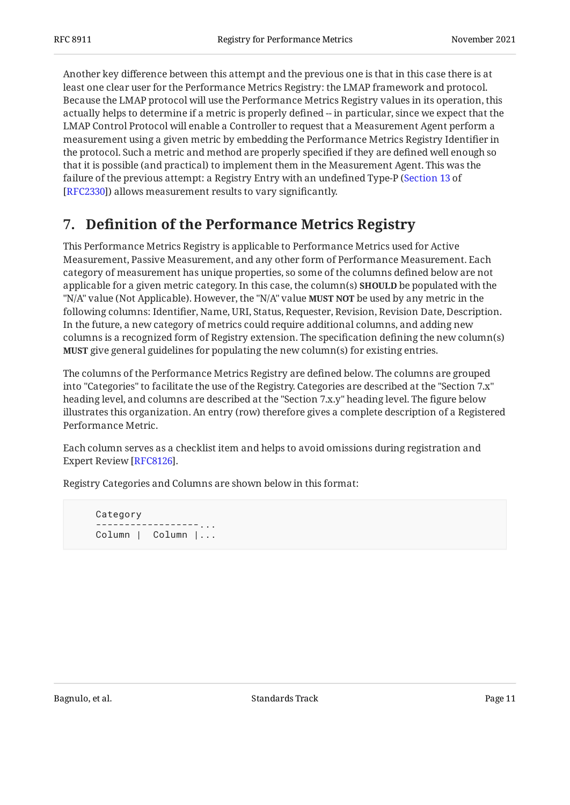Another key difference between this attempt and the previous one is that in this case there is at least one clear user for the Performance Metrics Registry: the LMAP framework and protocol. Because the LMAP protocol will use the Performance Metrics Registry values in its operation, this actually helps to determine if a metric is properly defined -- in particular, since we expect that the LMAP Control Protocol will enable a Controller to request that a Measurement Agent perform a measurement using a given metric by embedding the Performance Metrics Registry Identifier in the protocol. Such a metric and method are properly specified if they are defined well enough so that it is possible (and practical) to implement them in the Measurement Agent. This was the failure of the previous attempt: a Registry Entry with an undefined Type-P ( [Section 13](https://www.rfc-editor.org/rfc/rfc2330#section-13) of [[RFC2330\]](#page-31-9)) allows measurement results to vary significantly.

## <span id="page-10-0"></span>**[7. D](#page-10-0)efi[nition of the Performance Metrics Registry](#page-10-0)**

This Performance Metrics Registry is applicable to Performance Metrics used for Active Measurement, Passive Measurement, and any other form of Performance Measurement. Each category of measurement has unique properties, so some of the columns defined below are not applicable for a given metric category. In this case, the column(s) **SHOULD** be populated with the "N/A" value (Not Applicable). However, the "N/A" value **MUST NOT** be used by any metric in the following columns: Identifier, Name, URI, Status, Requester, Revision, Revision Date, Description. In the future, a new category of metrics could require additional columns, and adding new columns is a recognized form of Registry extension. The specification defining the new column(s) give general guidelines for populating the new column(s) for existing entries. **MUST**

The columns of the Performance Metrics Registry are defined below. The columns are grouped into "Categories" to facilitate the use of the Registry. Categories are described at the "Section 7.x" heading level, and columns are described at the "Section 7.x.y" heading level. The figure below illustrates this organization. An entry (row) therefore gives a complete description of a Registered Performance Metric.

Each column serves as a checklist item and helps to avoid omissions during registration and Expert Review [RFC8126].

Registry Categories and Columns are shown below in this format:

```
 Category
 ------------------...
 Column | Column |...
```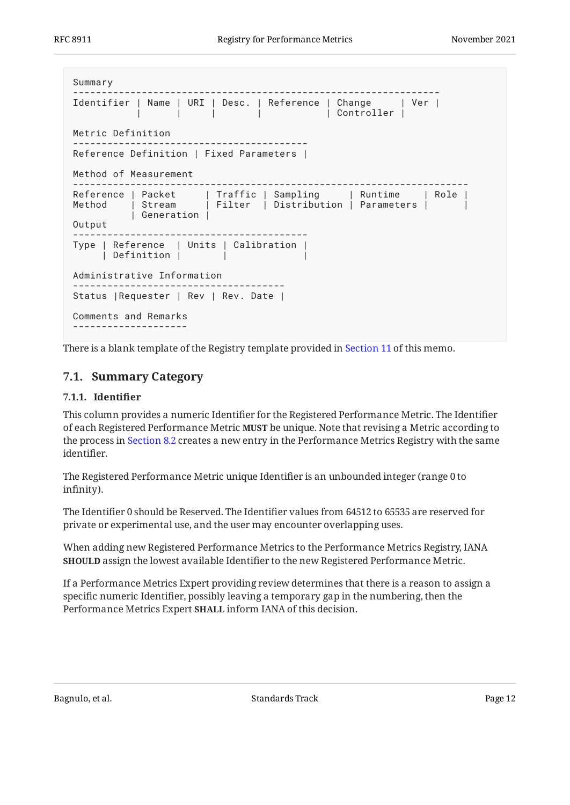```
Summary
               ----------------------------------------------------------------
Identifier | Name | URI | Desc. | Reference | Change | Ver |
           | | | | | Controller |
Metric Definition
-----------------------------------------
Reference Definition | Fixed Parameters |
Method of Measurement
---------------------------------------------------------------------
Reference | Packet | Traffic | Sampling | Runtime | Role |
Method | Stream | Filter | Distribution | Parameters | |
          | Generation |
Output
-----------------------------------------
Type | Reference | Units | Calibration |
     | Definition | |
Administrative Information
-------------------------------------
Status | Requester | Rev | Rev. Date |
Comments and Remarks
--------------------
```
<span id="page-11-0"></span>There is a blank template of the Registry template provided in [Section 11](#page-28-0) of this memo.

### <span id="page-11-1"></span>**[7.1. Summary Category](#page-11-0)**

#### **[7.1.1. Identi](#page-11-1)fier**

This column provides a numeric Identifier for the Registered Performance Metric. The Identifier of each Registered Performance Metric **MUST** be unique. Note that revising a Metric according to the process in [Section 8.2](#page-23-0) creates a new entry in the Performance Metrics Registry with the same identifier.

The Registered Performance Metric unique Identifier is an unbounded integer (range 0 to infinity).

The Identifier 0 should be Reserved. The Identifier values from 64512 to 65535 are reserved for private or experimental use, and the user may encounter overlapping uses.

When adding new Registered Performance Metrics to the Performance Metrics Registry, IANA **SHOULD** assign the lowest available Identifier to the new Registered Performance Metric.

If a Performance Metrics Expert providing review determines that there is a reason to assign a specific numeric Identifier, possibly leaving a temporary gap in the numbering, then the Performance Metrics Expert **SHALL** inform IANA of this decision.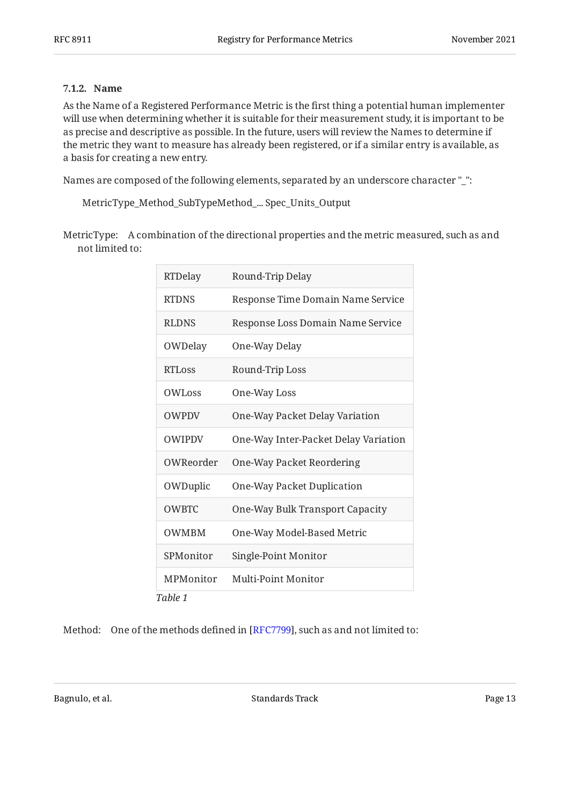### <span id="page-12-0"></span>**[7.1.2. Name](#page-12-0)**

As the Name of a Registered Performance Metric is the first thing a potential human implementer will use when determining whether it is suitable for their measurement study, it is important to be as precise and descriptive as possible. In the future, users will review the Names to determine if the metric they want to measure has already been registered, or if a similar entry is available, as a basis for creating a new entry.

Names are composed of the following elements, separated by an underscore character " ":

MetricType\_Method\_SubTypeMethod\_... Spec\_Units\_Output

MetricType: A combination of the directional properties and the metric measured, such as and not limited to:

<span id="page-12-1"></span>

| RTDelay             | Round-Trip Delay                     |
|---------------------|--------------------------------------|
| <b>RTDNS</b>        | Response Time Domain Name Service    |
| <b>RLDNS</b>        | Response Loss Domain Name Service    |
| OWDelay             | One-Way Delay                        |
| RTL <sub>0</sub> SS | Round-Trip Loss                      |
| OWL <sub>oss</sub>  | One-Way Loss                         |
| <b>OWPDV</b>        | One-Way Packet Delay Variation       |
| <b>OWIPDV</b>       | One-Way Inter-Packet Delay Variation |
| OWReorder           | One-Way Packet Reordering            |
| OWDuplic            | One-Way Packet Duplication           |
| <b>OWBTC</b>        | One-Way Bulk Transport Capacity      |
| <b>OWMBM</b>        | One-Way Model-Based Metric           |
| SPMonitor           | Single-Point Monitor                 |
| MPMonitor           | Multi-Point Monitor                  |
| Table 1             |                                      |

Method: One of the methods defined in [\[RFC7799\]](#page-32-6), such as and not limited to: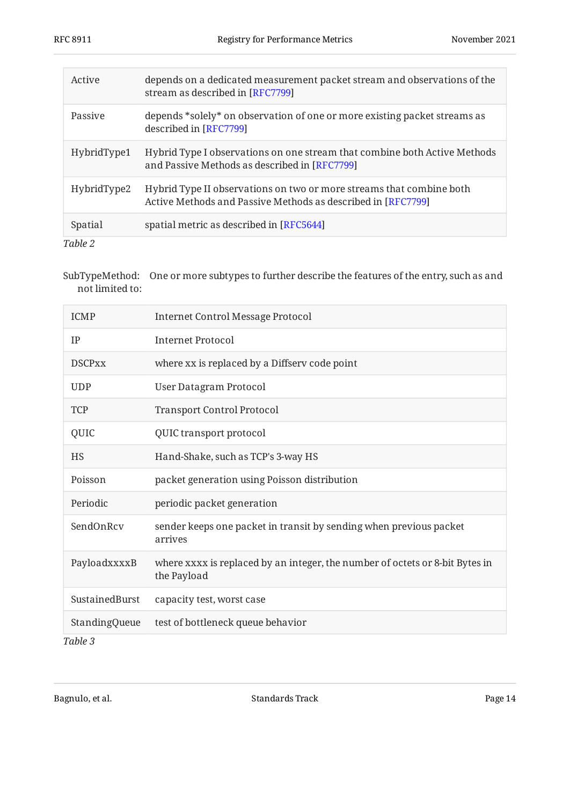<span id="page-13-0"></span>

| Active      | depends on a dedicated measurement packet stream and observations of the<br>stream as described in [RFC7799]                         |
|-------------|--------------------------------------------------------------------------------------------------------------------------------------|
| Passive     | depends *solely* on observation of one or more existing packet streams as<br>described in [RFC7799]                                  |
| HybridType1 | Hybrid Type I observations on one stream that combine both Active Methods<br>and Passive Methods as described in [RFC7799]           |
| HybridType2 | Hybrid Type II observations on two or more streams that combine both<br>Active Methods and Passive Methods as described in [RFC7799] |
| Spatial     | spatial metric as described in [RFC5644]                                                                                             |
| Table 2     |                                                                                                                                      |

SubTypeMethod: One or more subtypes to further describe the features of the entry, such as and not limited to:

<span id="page-13-1"></span>

| <b>ICMP</b>    | <b>Internet Control Message Protocol</b>                                                    |
|----------------|---------------------------------------------------------------------------------------------|
| IP             | <b>Internet Protocol</b>                                                                    |
| <b>DSCPxx</b>  | where xx is replaced by a Diffserv code point                                               |
| <b>UDP</b>     | <b>User Datagram Protocol</b>                                                               |
| <b>TCP</b>     | <b>Transport Control Protocol</b>                                                           |
| QUIC           | QUIC transport protocol                                                                     |
| <b>HS</b>      | Hand-Shake, such as TCP's 3-way HS                                                          |
| Poisson        | packet generation using Poisson distribution                                                |
| Periodic       | periodic packet generation                                                                  |
| SendOnRcv      | sender keeps one packet in transit by sending when previous packet<br>arrives               |
| PayloadxxxxB   | where xxxx is replaced by an integer, the number of octets or 8-bit Bytes in<br>the Payload |
| SustainedBurst | capacity test, worst case                                                                   |
| StandingQueue  | test of bottleneck queue behavior                                                           |
| $Ta$ hla 2     |                                                                                             |

*[Table 3](#page-13-1)*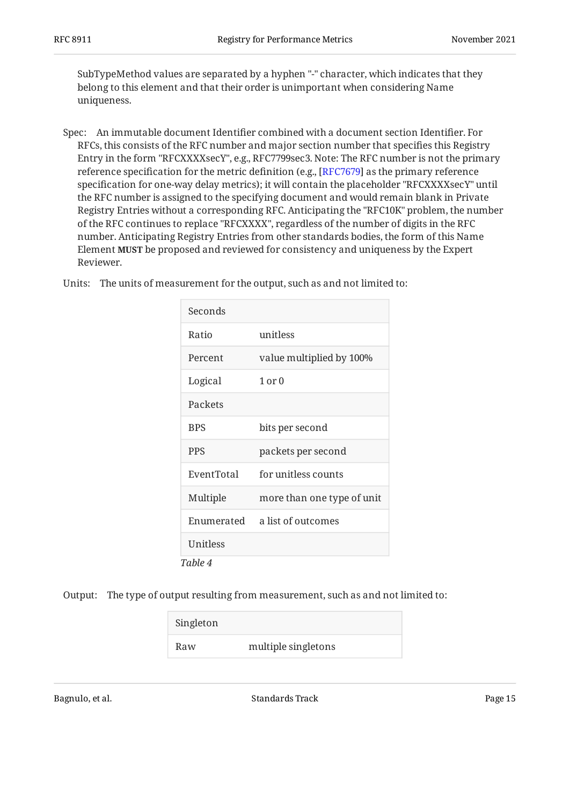SubTypeMethod values are separated by a hyphen "-" character, which indicates that they belong to this element and that their order is unimportant when considering Name uniqueness.

Spec: An immutable document Identifier combined with a document section Identifier. For RFCs, this consists of the RFC number and major section number that specifies this Registry Entry in the form "RFCXXXXsecY", e.g., RFC7799sec3. Note: The RFC number is not the primary reference specification for the metric definition (e.g., [[RFC7679\]](#page-33-1) as the primary reference specification for one-way delay metrics); it will contain the placeholder "RFCXXXXsecY" until the RFC number is assigned to the specifying document and would remain blank in Private Registry Entries without a corresponding RFC. Anticipating the "RFC10K" problem, the number of the RFC continues to replace "RFCXXXX", regardless of the number of digits in the RFC number. Anticipating Registry Entries from other standards bodies, the form of this Name Element be proposed and reviewed for consistency and uniqueness by the Expert **MUST** Reviewer.

|  |  |  | Units: The units of measurement for the output, such as and not limited to: |
|--|--|--|-----------------------------------------------------------------------------|
|--|--|--|-----------------------------------------------------------------------------|

<span id="page-14-0"></span>

| Seconds    |                            |
|------------|----------------------------|
| Ratio      | unitless                   |
| Percent    | value multiplied by 100%   |
| Logical    | $1$ or $0$                 |
| Packets    |                            |
| <b>BPS</b> | bits per second            |
| <b>PPS</b> | packets per second         |
| EventTotal | for unitless counts        |
| Multiple   | more than one type of unit |
| Enumerated | a list of outcomes         |
| Unitless   |                            |
| Table 4    |                            |

Output: The type of output resulting from measurement, such as and not limited to:

<span id="page-14-1"></span>

| Singleton |                     |
|-----------|---------------------|
| Raw       | multiple singletons |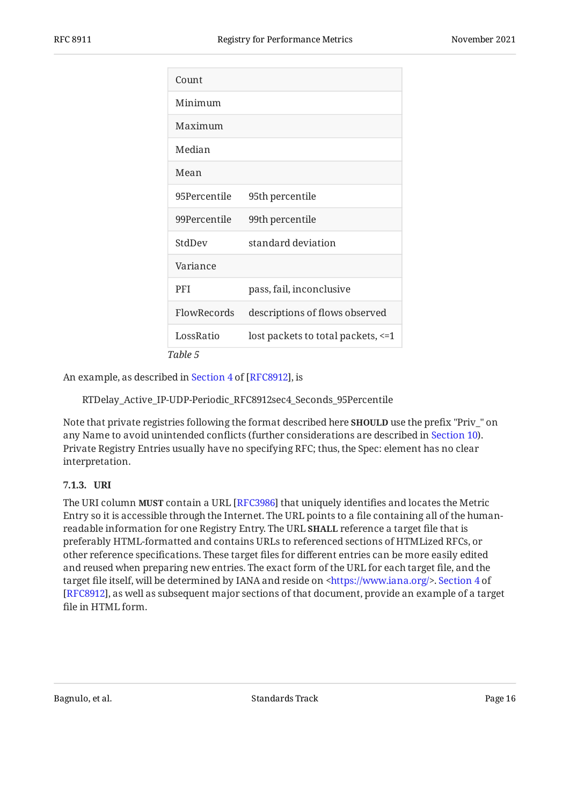| Count        |                                     |
|--------------|-------------------------------------|
| Minimum      |                                     |
| Maximum      |                                     |
| Median       |                                     |
| Mean         |                                     |
| 95Percentile | 95th percentile                     |
| 99Percentile | 99th percentile                     |
| StdDev       | standard deviation                  |
| Variance     |                                     |
| <b>PFI</b>   | pass, fail, inconclusive            |
| FlowRecords  | descriptions of flows observed      |
| LossRatio    | lost packets to total packets, <= 1 |
| Table 5      |                                     |

Anexample, as described in Section 4 of [RFC8912], is

RTDelay\_Active\_IP-UDP-Periodic\_RFC8912sec4\_Seconds\_95Percentile

Note that private registries following the format described here **SHOULD** use the prefix "Priv\_" on any Name to avoid unintended conflicts (further considerations are described in [Section 10\)](#page-26-1). Private Registry Entries usually have no specifying RFC; thus, the Spec: element has no clear interpretation.

### <span id="page-15-0"></span>**[7.1.3. URI](#page-15-0)**

The URI column **MUST** contain a URL [RFC3986] that uniquely identifies and locates the Metric Entry so it is accessible through the Internet. The URL points to a file containing all of the humanreadable information for one Registry Entry. The URL **SHA**LL reference a target file that is preferably HTML-formatted and contains URLs to referenced sections of HTMLized RFCs, or other reference specifications. These target files for different entries can be more easily edited and reused when preparing new entries. The exact form of the URL for each target file, and the target file itself, will be determined by IANA and reside on <https://www.iana.org/>. [Section 4](https://www.rfc-editor.org/rfc/rfc8912#section-4) of [[RFC8912\]](#page-33-3), as well as subsequent major sections of that document, provide an example of a target file in HTML form.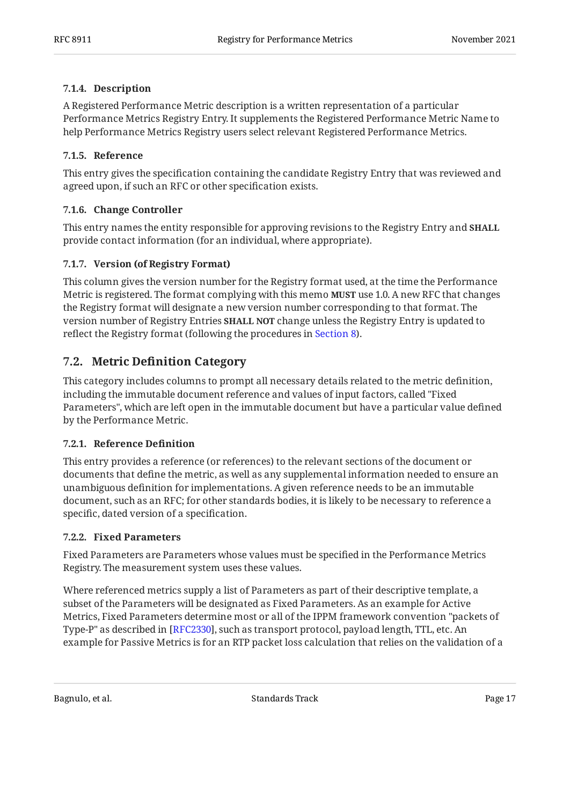### <span id="page-16-0"></span>**[7.1.4. Description](#page-16-0)**

A Registered Performance Metric description is a written representation of a particular Performance Metrics Registry Entry. It supplements the Registered Performance Metric Name to help Performance Metrics Registry users select relevant Registered Performance Metrics.

### <span id="page-16-1"></span>**[7.1.5. Reference](#page-16-1)**

This entry gives the specification containing the candidate Registry Entry that was reviewed and agreed upon, if such an RFC or other specification exists.

### <span id="page-16-2"></span>**[7.1.6. Change Controller](#page-16-2)**

This entry names the entity responsible for approving revisions to the Registry Entry and **SHALL** provide contact information (for an individual, where appropriate).

### <span id="page-16-3"></span>**[7.1.7. Version \(of Registry Format\)](#page-16-3)**

This column gives the version number for the Registry format used, at the time the Performance Metric is registered. The format complying with this memo **MUST** use 1.0. A new RFC that changes the Registry format will designate a new version number corresponding to that format. The version number of Registry Entries **SHALL NOT** change unless the Registry Entry is updated to reflect the Registry format (following the procedures in [Section 8\)](#page-21-6).

### <span id="page-16-4"></span>**[7.2. M](#page-16-4)etric Defi[nition Category](#page-16-4)**

This category includes columns to prompt all necessary details related to the metric definition, including the immutable document reference and values of input factors, called "Fixed Parameters", which are left open in the immutable document but have a particular value defined by the Performance Metric.

### <span id="page-16-5"></span>**[7.2.1. Reference De](#page-16-5)finition**

This entry provides a reference (or references) to the relevant sections of the document or documents that define the metric, as well as any supplemental information needed to ensure an unambiguous definition for implementations. A given reference needs to be an immutable document, such as an RFC; for other standards bodies, it is likely to be necessary to reference a specific, dated version of a specification.

### <span id="page-16-6"></span>**[7.2.2. Fixed Parameters](#page-16-6)**

Fixed Parameters are Parameters whose values must be specified in the Performance Metrics Registry. The measurement system uses these values.

Where referenced metrics supply a list of Parameters as part of their descriptive template, a subset of the Parameters will be designated as Fixed Parameters. As an example for Active Metrics, Fixed Parameters determine most or all of the IPPM framework convention "packets of Type-P" as described in [RFC2330], such as transport protocol, payload length, TTL, etc. An example for Passive Metrics is for an RTP packet loss calculation that relies on the validation of a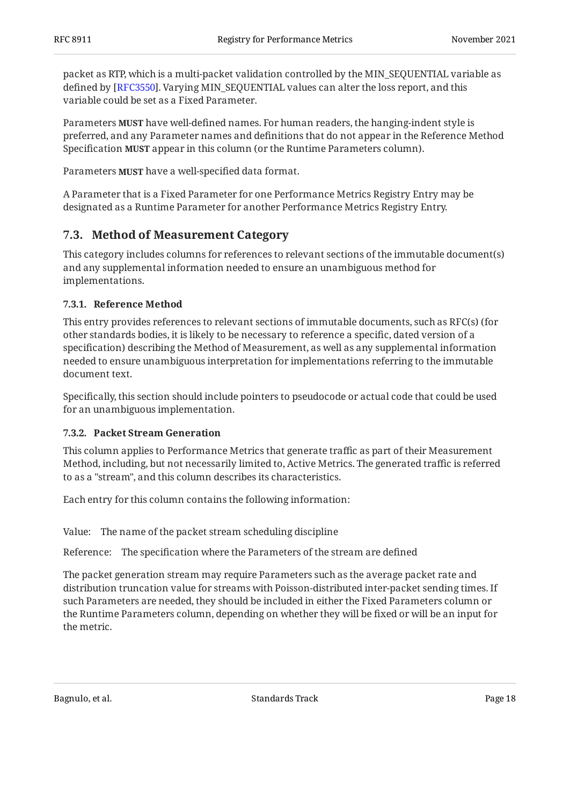packet as RTP, which is a multi-packet validation controlled by the MIN\_SEQUENTIAL variable as defined by [RFC3550]. Varying MIN\_SEQUENTIAL values can alter the loss report, and this variable could be set as a Fixed Parameter.

Parameters **MUST** have well-defined names. For human readers, the hanging-indent style is preferred, and any Parameter names and definitions that do not appear in the Reference Method Specification **MUST** appear in this column (or the Runtime Parameters column).

Parameters **MUST** have a well-specified data format.

A Parameter that is a Fixed Parameter for one Performance Metrics Registry Entry may be designated as a Runtime Parameter for another Performance Metrics Registry Entry.

### <span id="page-17-0"></span>**[7.3. Method of Measurement Category](#page-17-0)**

This category includes columns for references to relevant sections of the immutable document(s) and any supplemental information needed to ensure an unambiguous method for implementations.

### <span id="page-17-1"></span>**[7.3.1. Reference Method](#page-17-1)**

This entry provides references to relevant sections of immutable documents, such as RFC(s) (for other standards bodies, it is likely to be necessary to reference a specific, dated version of a specification) describing the Method of Measurement, as well as any supplemental information needed to ensure unambiguous interpretation for implementations referring to the immutable document text.

Specifically, this section should include pointers to pseudocode or actual code that could be used for an unambiguous implementation.

### <span id="page-17-2"></span>**[7.3.2. Packet Stream Generation](#page-17-2)**

This column applies to Performance Metrics that generate traffic as part of their Measurement Method, including, but not necessarily limited to, Active Metrics. The generated traffic is referred to as a "stream", and this column describes its characteristics.

Each entry for this column contains the following information:

Value: The name of the packet stream scheduling discipline

Reference: The specification where the Parameters of the stream are defined

The packet generation stream may require Parameters such as the average packet rate and distribution truncation value for streams with Poisson-distributed inter-packet sending times. If such Parameters are needed, they should be included in either the Fixed Parameters column or the Runtime Parameters column, depending on whether they will be fixed or will be an input for the metric.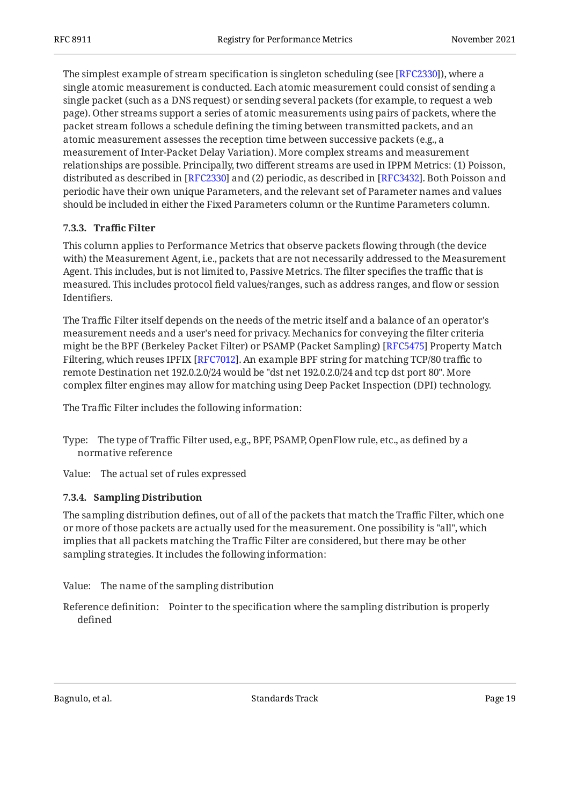The simplest example of stream specification is singleton scheduling (see [RFC2330]), where a single atomic measurement is conducted. Each atomic measurement could consist of sending a single packet (such as a DNS request) or sending several packets (for example, to request a web page). Other streams support a series of atomic measurements using pairs of packets, where the packet stream follows a schedule defining the timing between transmitted packets, and an atomic measurement assesses the reception time between successive packets (e.g., a measurement of Inter-Packet Delay Variation). More complex streams and measurement relationships are possible. Principally, two different streams are used in IPPM Metrics: (1) Poisson, distributed as described in [RFC2330] and (2) periodic, as described in [RFC3432]. Both Poisson and periodic have their own unique Parameters, and the relevant set of Parameter names and values should be included in either the Fixed Parameters column or the Runtime Parameters column.

### <span id="page-18-0"></span>**[7.3.3. T](#page-18-0)raffi[c Filter](#page-18-0)**

This column applies to Performance Metrics that observe packets flowing through (the device with) the Measurement Agent, i.e., packets that are not necessarily addressed to the Measurement Agent. This includes, but is not limited to, Passive Metrics. The filter specifies the traffic that is measured. This includes protocol field values/ranges, such as address ranges, and flow or session Identifiers.

The Traffic Filter itself depends on the needs of the metric itself and a balance of an operator's measurement needs and a user's need for privacy. Mechanics for conveying the filter criteria might be the BPF (Berkeley Packet Filter) or PSAMP (Packet Sampling) [\[RFC5475](#page-32-10)] Property Match Filtering, which reuses IPFIX [\[RFC7012\]](#page-33-5). An example BPF string for matching TCP/80 traffic to remote Destination net 192.0.2.0/24 would be "dst net 192.0.2.0/24 and tcp dst port 80". More complex filter engines may allow for matching using Deep Packet Inspection (DPI) technology.

The Traffic Filter includes the following information:

- Type: The type of Traffic Filter used, e.g., BPF, PSAMP, OpenFlow rule, etc., as defined by a normative reference
- <span id="page-18-1"></span>Value: The actual set of rules expressed

### **[7.3.4. Sampling Distribution](#page-18-1)**

The sampling distribution defines, out of all of the packets that match the Traffic Filter, which one or more of those packets are actually used for the measurement. One possibility is "all", which implies that all packets matching the Traffic Filter are considered, but there may be other sampling strategies. It includes the following information:

- Value: The name of the sampling distribution
- Reference definition: Pointer to the specification where the sampling distribution is properly defined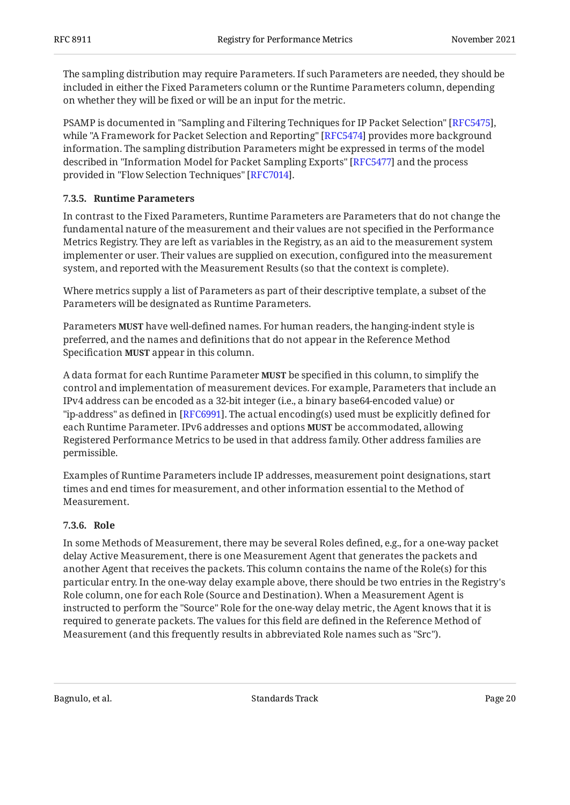The sampling distribution may require Parameters. If such Parameters are needed, they should be included in either the Fixed Parameters column or the Runtime Parameters column, depending on whether they will be fixed or will be an input for the metric.

PSAMP is documented in "Sampling and Filtering Techniques for IP Packet Selection" [\[RFC5475](#page-32-10)], while "A Framework for Packet Selection and Reporting" [RFC5474] provides more background information. The sampling distribution Parameters might be expressed in terms of the model described in "Information Model for Packet Sampling Exports" [RFC5477] and the process provided in "Flow Selection Techniques" [RFC7014].

### <span id="page-19-0"></span>**[7.3.5. Runtime Parameters](#page-19-0)**

In contrast to the Fixed Parameters, Runtime Parameters are Parameters that do not change the fundamental nature of the measurement and their values are not specified in the Performance Metrics Registry. They are left as variables in the Registry, as an aid to the measurement system implementer or user. Their values are supplied on execution, configured into the measurement system, and reported with the Measurement Results (so that the context is complete).

Where metrics supply a list of Parameters as part of their descriptive template, a subset of the Parameters will be designated as Runtime Parameters.

Parameters **MUST** have well-defined names. For human readers, the hanging-indent style is preferred, and the names and definitions that do not appear in the Reference Method Specification **MUST** appear in this column.

A data format for each Runtime Parameter **MUST** be specified in this column, to simplify the control and implementation of measurement devices. For example, Parameters that include an IPv4 address can be encoded as a 32-bit integer (i.e., a binary base64-encoded value) or "ip-address" as defined in [RFC6991]. The actual encoding(s) used must be explicitly defined for each Runtime Parameter. IPv6 addresses and options **MUST** be accommodated, allowing Registered Performance Metrics to be used in that address family. Other address families are permissible.

Examples of Runtime Parameters include IP addresses, measurement point designations, start times and end times for measurement, and other information essential to the Method of Measurement.

#### <span id="page-19-1"></span>**[7.3.6. Role](#page-19-1)**

In some Methods of Measurement, there may be several Roles defined, e.g., for a one-way packet delay Active Measurement, there is one Measurement Agent that generates the packets and another Agent that receives the packets. This column contains the name of the Role(s) for this particular entry. In the one-way delay example above, there should be two entries in the Registry's Role column, one for each Role (Source and Destination). When a Measurement Agent is instructed to perform the "Source" Role for the one-way delay metric, the Agent knows that it is required to generate packets. The values for this field are defined in the Reference Method of Measurement (and this frequently results in abbreviated Role names such as "Src").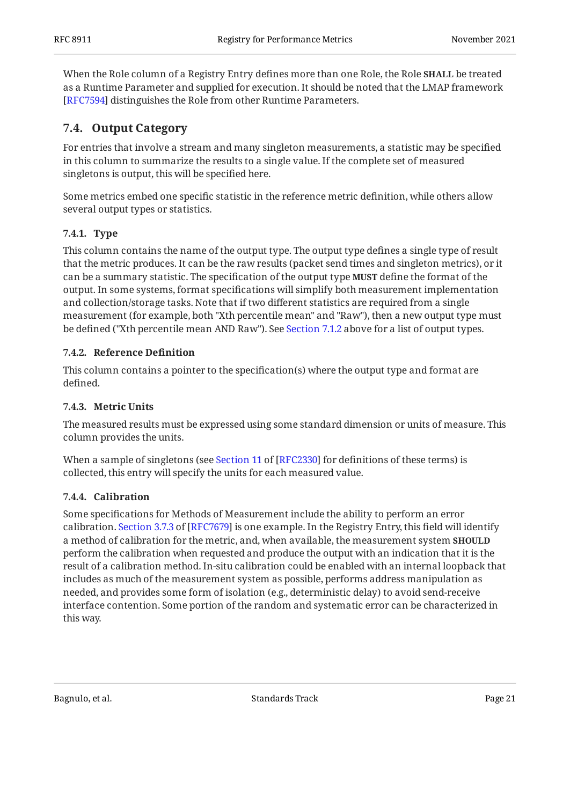When the Role column of a Registry Entry defines more than one Role, the Role **SHALL** be treated as a Runtime Parameter and supplied for execution. It should be noted that the LMAP framework [[RFC7594\]](#page-33-4) distinguishes the Role from other Runtime Parameters.

### <span id="page-20-0"></span>**[7.4. Output Category](#page-20-0)**

For entries that involve a stream and many singleton measurements, a statistic may be specified in this column to summarize the results to a single value. If the complete set of measured singletons is output, this will be specified here.

Some metrics embed one specific statistic in the reference metric definition, while others allow several output types or statistics.

### <span id="page-20-1"></span>**[7.4.1. Type](#page-20-1)**

This column contains the name of the output type. The output type defines a single type of result that the metric produces. It can be the raw results (packet send times and singleton metrics), or it can be a summary statistic. The specification of the output type **MUST** define the format of the output. In some systems, format specifications will simplify both measurement implementation and collection/storage tasks. Note that if two different statistics are required from a single measurement (for example, both "Xth percentile mean" and "Raw"), then a new output type must be defined ("Xth percentile mean AND Raw"). See [Section 7.1.2](#page-12-0) above for a list of output types.

### <span id="page-20-2"></span>**[7.4.2. Reference De](#page-20-2)finition**

This column contains a pointer to the specification(s) where the output type and format are defined.

### <span id="page-20-3"></span>**[7.4.3. Metric Units](#page-20-3)**

The measured results must be expressed using some standard dimension or units of measure. This column provides the units.

Whena sample of singletons (see Section 11 of [RFC2330] for definitions of these terms) is collected, this entry will specify the units for each measured value.

### <span id="page-20-4"></span>**[7.4.4. Calibration](#page-20-4)**

Some specifications for Methods of Measurement include the ability to perform an error calibration.Section 3.7.3 of [RFC7679] is one example. In the Registry Entry, this field will identify a method of calibration for the metric, and, when available, the measurement system **SHOULD** perform the calibration when requested and produce the output with an indication that it is the result of a calibration method. In-situ calibration could be enabled with an internal loopback that includes as much of the measurement system as possible, performs address manipulation as needed, and provides some form of isolation (e.g., deterministic delay) to avoid send-receive interface contention. Some portion of the random and systematic error can be characterized in this way.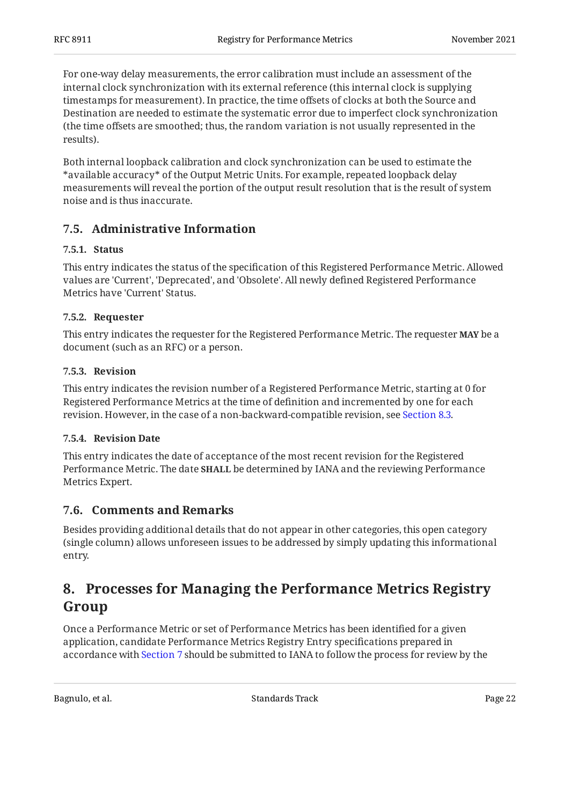For one-way delay measurements, the error calibration must include an assessment of the internal clock synchronization with its external reference (this internal clock is supplying timestamps for measurement). In practice, the time offsets of clocks at both the Source and Destination are needed to estimate the systematic error due to imperfect clock synchronization (the time offsets are smoothed; thus, the random variation is not usually represented in the results).

Both internal loopback calibration and clock synchronization can be used to estimate the \*available accuracy\* of the Output Metric Units. For example, repeated loopback delay measurements will reveal the portion of the output result resolution that is the result of system noise and is thus inaccurate.

### <span id="page-21-1"></span><span id="page-21-0"></span>**[7.5. Administrative Information](#page-21-0)**

### **[7.5.1. Status](#page-21-1)**

This entry indicates the status of the specification of this Registered Performance Metric. Allowed values are 'Current', 'Deprecated', and 'Obsolete'. All newly defined Registered Performance Metrics have 'Current' Status.

### <span id="page-21-2"></span>**[7.5.2. Requester](#page-21-2)**

This entry indicates the requester for the Registered Performance Metric. The requester **MAY** be a document (such as an RFC) or a person.

### <span id="page-21-3"></span>**[7.5.3. Revision](#page-21-3)**

This entry indicates the revision number of a Registered Performance Metric, starting at 0 for Registered Performance Metrics at the time of definition and incremented by one for each revision. However, in the case of a non-backward-compatible revision, see [Section 8.3.](#page-24-0)

### <span id="page-21-4"></span>**[7.5.4. Revision Date](#page-21-4)**

This entry indicates the date of acceptance of the most recent revision for the Registered Performance Metric. The date **SHALL** be determined by IANA and the reviewing Performance Metrics Expert.

### <span id="page-21-5"></span>**[7.6. Comments and Remarks](#page-21-5)**

Besides providing additional details that do not appear in other categories, this open category (single column) allows unforeseen issues to be addressed by simply updating this informational entry.

## <span id="page-21-6"></span>**[8. Processes for Managing the Performance Metrics Registry](#page-21-6) [Group](#page-21-6)**

Once a Performance Metric or set of Performance Metrics has been identified for a given application, candidate Performance Metrics Registry Entry specifications prepared in accordance with [Section 7](#page-10-0) should be submitted to IANA to follow the process for review by the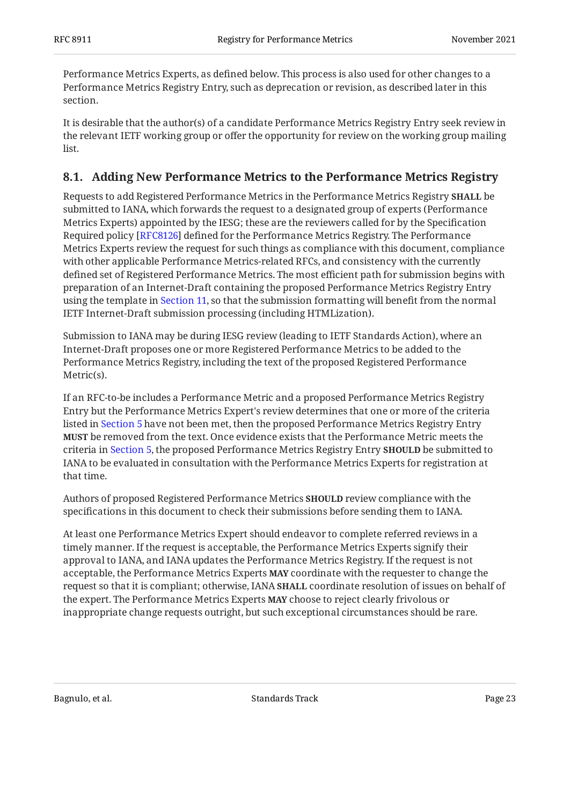Performance Metrics Experts, as defined below. This process is also used for other changes to a Performance Metrics Registry Entry, such as deprecation or revision, as described later in this section.

It is desirable that the author(s) of a candidate Performance Metrics Registry Entry seek review in the relevant IETF working group or offer the opportunity for review on the working group mailing list.

### <span id="page-22-0"></span>**[8.1. Adding New Performance Metrics to the Performance Metrics Registry](#page-22-0)**

Requests to add Registered Performance Metrics in the Performance Metrics Registry **SHALL** be submitted to IANA, which forwards the request to a designated group of experts (Performance Metrics Experts) appointed by the IESG; these are the reviewers called for by the Specification Required policy [RFC8126] defined for the Performance Metrics Registry. The Performance Metrics Experts review the request for such things as compliance with this document, compliance with other applicable Performance Metrics-related RFCs, and consistency with the currently defined set of Registered Performance Metrics. The most efficient path for submission begins with preparation of an Internet-Draft containing the proposed Performance Metrics Registry Entry using the template in [Section 11,](#page-28-0) so that the submission formatting will benefit from the normal IETF Internet-Draft submission processing (including HTMLization).

Submission to IANA may be during IESG review (leading to IETF Standards Action), where an Internet-Draft proposes one or more Registered Performance Metrics to be added to the Performance Metrics Registry, including the text of the proposed Registered Performance Metric(s).

If an RFC-to-be includes a Performance Metric and a proposed Performance Metrics Registry Entry but the Performance Metrics Expert's review determines that one or more of the criteria listed in [Section 5](#page-8-2) have not been met, then the proposed Performance Metrics Registry Entry **MUST** be removed from the text. Once evidence exists that the Performance Metric meets the criteria in [Section 5](#page-8-2), the proposed Performance Metrics Registry Entry **SHOULD** be submitted to IANA to be evaluated in consultation with the Performance Metrics Experts for registration at that time.

Authors of proposed Registered Performance Metrics **SHOULD** review compliance with the specifications in this document to check their submissions before sending them to IANA.

At least one Performance Metrics Expert should endeavor to complete referred reviews in a timely manner. If the request is acceptable, the Performance Metrics Experts signify their approval to IANA, and IANA updates the Performance Metrics Registry. If the request is not acceptable, the Performance Metrics Experts MAY coordinate with the requester to change the request so that it is compliant; otherwise, IANA **SHALL** coordinate resolution of issues on behalf of the expert. The Performance Metrics Experts **MAY** choose to reject clearly frivolous or inappropriate change requests outright, but such exceptional circumstances should be rare.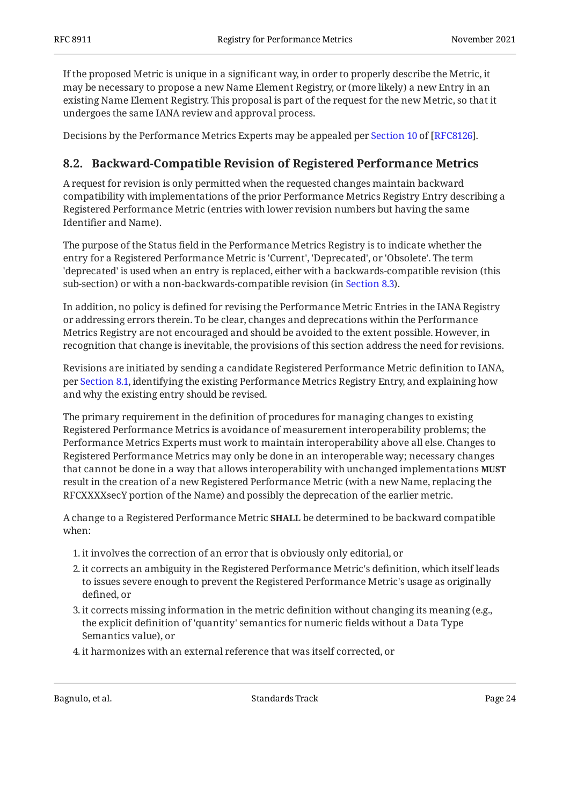If the proposed Metric is unique in a significant way, in order to properly describe the Metric, it may be necessary to propose a new Name Element Registry, or (more likely) a new Entry in an existing Name Element Registry. This proposal is part of the request for the new Metric, so that it undergoes the same IANA review and approval process.

<span id="page-23-0"></span>Decisions by the Performance Metrics Experts may be appealed per [Section 10](https://www.rfc-editor.org/rfc/rfc8126#section-10) of [[RFC8126\]](#page-32-5).

### **[8.2. Backward-Compatible Revision of Registered Performance Metrics](#page-23-0)**

A request for revision is only permitted when the requested changes maintain backward compatibility with implementations of the prior Performance Metrics Registry Entry describing a Registered Performance Metric (entries with lower revision numbers but having the same Identifier and Name).

The purpose of the Status field in the Performance Metrics Registry is to indicate whether the entry for a Registered Performance Metric is 'Current', 'Deprecated', or 'Obsolete'. The term 'deprecated' is used when an entry is replaced, either with a backwards-compatible revision (this sub-section) or with a non-backwards-compatible revision (in [Section 8.3](#page-24-0)).

In addition, no policy is defined for revising the Performance Metric Entries in the IANA Registry or addressing errors therein. To be clear, changes and deprecations within the Performance Metrics Registry are not encouraged and should be avoided to the extent possible. However, in recognition that change is inevitable, the provisions of this section address the need for revisions.

Revisions are initiated by sending a candidate Registered Performance Metric definition to IANA, per [Section 8.1](#page-22-0), identifying the existing Performance Metrics Registry Entry, and explaining how and why the existing entry should be revised.

The primary requirement in the definition of procedures for managing changes to existing Registered Performance Metrics is avoidance of measurement interoperability problems; the Performance Metrics Experts must work to maintain interoperability above all else. Changes to Registered Performance Metrics may only be done in an interoperable way; necessary changes that cannot be done in a way that allows interoperability with unchanged implementations **MUST** result in the creation of a new Registered Performance Metric (with a new Name, replacing the RFCXXXXsecY portion of the Name) and possibly the deprecation of the earlier metric.

A change to a Registered Performance Metric **SHALL** be determined to be backward compatible when:

- 1. it involves the correction of an error that is obviously only editorial, or
- 2. it corrects an ambiguity in the Registered Performance Metric's definition, which itself leads to issues severe enough to prevent the Registered Performance Metric's usage as originally defined, or
- 3. it corrects missing information in the metric definition without changing its meaning (e.g., the explicit definition of 'quantity' semantics for numeric fields without a Data Type Semantics value), or
- 4. it harmonizes with an external reference that was itself corrected, or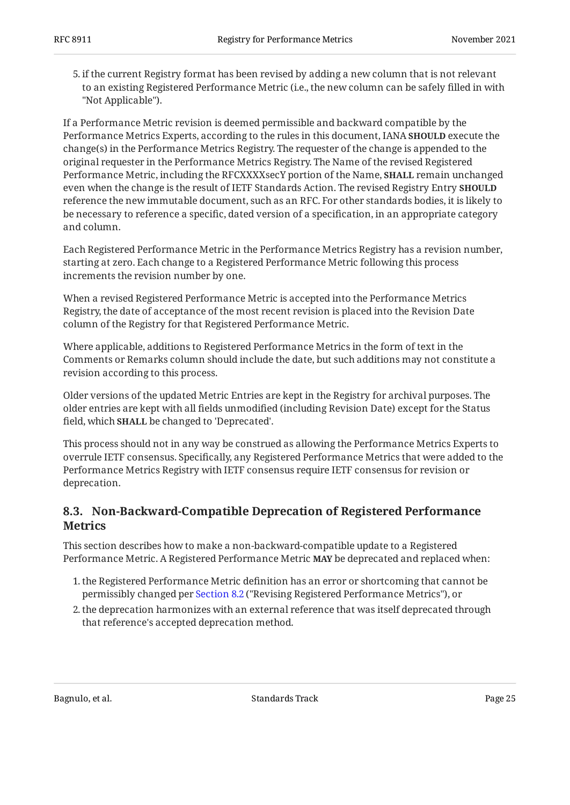5. if the current Registry format has been revised by adding a new column that is not relevant to an existing Registered Performance Metric (i.e., the new column can be safely filled in with "Not Applicable").

If a Performance Metric revision is deemed permissible and backward compatible by the Performance Metrics Experts, according to the rules in this document, IANA **SHOULD** execute the change(s) in the Performance Metrics Registry. The requester of the change is appended to the original requester in the Performance Metrics Registry. The Name of the revised Registered Performance Metric, including the RFCXXXXsecY portion of the Name, **SHALL** remain unchanged even when the change is the result of IETF Standards Action. The revised Registry Entry **SHOULD** reference the new immutable document, such as an RFC. For other standards bodies, it is likely to be necessary to reference a specific, dated version of a specification, in an appropriate category and column.

Each Registered Performance Metric in the Performance Metrics Registry has a revision number, starting at zero. Each change to a Registered Performance Metric following this process increments the revision number by one.

When a revised Registered Performance Metric is accepted into the Performance Metrics Registry, the date of acceptance of the most recent revision is placed into the Revision Date column of the Registry for that Registered Performance Metric.

Where applicable, additions to Registered Performance Metrics in the form of text in the Comments or Remarks column should include the date, but such additions may not constitute a revision according to this process.

Older versions of the updated Metric Entries are kept in the Registry for archival purposes. The older entries are kept with all fields unmodified (including Revision Date) except for the Status field, which **SHALL** be changed to 'Deprecated'.

This process should not in any way be construed as allowing the Performance Metrics Experts to overrule IETF consensus. Specifically, any Registered Performance Metrics that were added to the Performance Metrics Registry with IETF consensus require IETF consensus for revision or deprecation.

### <span id="page-24-0"></span>**[8.3. Non-Backward-Compatible Deprecation of Registered Performance](#page-24-0) [Metrics](#page-24-0)**

This section describes how to make a non-backward-compatible update to a Registered Performance Metric. A Registered Performance Metric **MAY** be deprecated and replaced when:

- 1. the Registered Performance Metric definition has an error or shortcoming that cannot be permissibly changed per [Section 8.2](#page-23-0) ("Revising Registered Performance Metrics"), or
- 2. the deprecation harmonizes with an external reference that was itself deprecated through that reference's accepted deprecation method.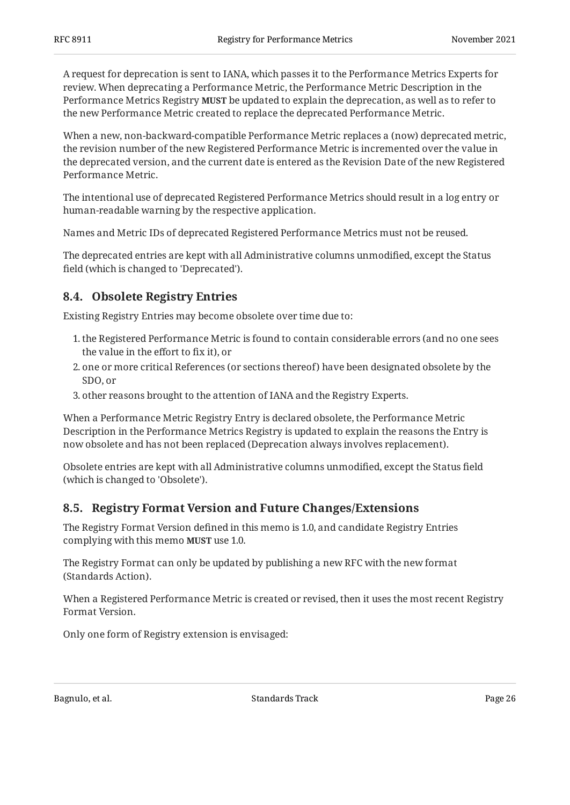A request for deprecation is sent to IANA, which passes it to the Performance Metrics Experts for review. When deprecating a Performance Metric, the Performance Metric Description in the Performance Metrics Registry **MUST** be updated to explain the deprecation, as well as to refer to the new Performance Metric created to replace the deprecated Performance Metric.

When a new, non-backward-compatible Performance Metric replaces a (now) deprecated metric, the revision number of the new Registered Performance Metric is incremented over the value in the deprecated version, and the current date is entered as the Revision Date of the new Registered Performance Metric.

The intentional use of deprecated Registered Performance Metrics should result in a log entry or human-readable warning by the respective application.

Names and Metric IDs of deprecated Registered Performance Metrics must not be reused.

The deprecated entries are kept with all Administrative columns unmodified, except the Status field (which is changed to 'Deprecated').

### <span id="page-25-0"></span>**[8.4. Obsolete Registry Entries](#page-25-0)**

Existing Registry Entries may become obsolete over time due to:

- 1. the Registered Performance Metric is found to contain considerable errors (and no one sees the value in the effort to fix it), or
- 2. one or more critical References (or sections thereof) have been designated obsolete by the SDO, or
- 3. other reasons brought to the attention of IANA and the Registry Experts.

When a Performance Metric Registry Entry is declared obsolete, the Performance Metric Description in the Performance Metrics Registry is updated to explain the reasons the Entry is now obsolete and has not been replaced (Deprecation always involves replacement).

Obsolete entries are kept with all Administrative columns unmodified, except the Status field (which is changed to 'Obsolete').

### <span id="page-25-1"></span>**[8.5. Registry Format Version and Future Changes/Extensions](#page-25-1)**

The Registry Format Version defined in this memo is 1.0, and candidate Registry Entries complying with this memo **MUST** use 1.0.

The Registry Format can only be updated by publishing a new RFC with the new format (Standards Action).

When a Registered Performance Metric is created or revised, then it uses the most recent Registry Format Version.

Only one form of Registry extension is envisaged: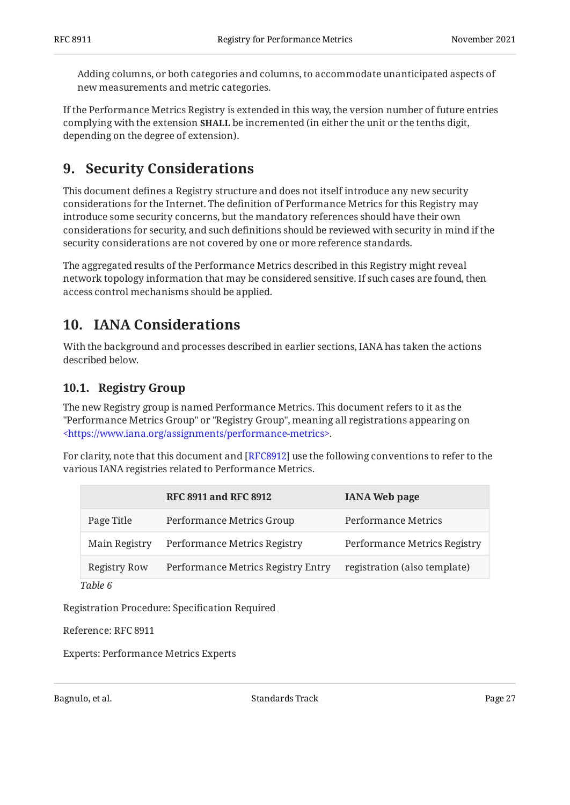Adding columns, or both categories and columns, to accommodate unanticipated aspects of new measurements and metric categories.

If the Performance Metrics Registry is extended in this way, the version number of future entries complying with the extension **SHALL** be incremented (in either the unit or the tenths digit, depending on the degree of extension).

## <span id="page-26-0"></span>**[9. Security Considerations](#page-26-0)**

This document defines a Registry structure and does not itself introduce any new security considerations for the Internet. The definition of Performance Metrics for this Registry may introduce some security concerns, but the mandatory references should have their own considerations for security, and such definitions should be reviewed with security in mind if the security considerations are not covered by one or more reference standards.

The aggregated results of the Performance Metrics described in this Registry might reveal network topology information that may be considered sensitive. If such cases are found, then access control mechanisms should be applied.

## <span id="page-26-1"></span>**[10. IANA Considerations](#page-26-1)**

With the background and processes described in earlier sections, IANA has taken the actions described below.

### <span id="page-26-2"></span>**[10.1. Registry Group](#page-26-2)**

The new Registry group is named Performance Metrics. This document refers to it as the "Performance Metrics Group" or "Registry Group", meaning all registrations appearing on [<https://www.iana.org/assignments/performance-metrics>](https://www.iana.org/assignments/performance-metrics).

For clarity, note that this document and [\[RFC8912](#page-33-3)] use the following conventions to refer to the various IANA registries related to Performance Metrics.

<span id="page-26-3"></span>

|                     | <b>RFC 8911 and RFC 8912</b>       | <b>IANA Web page</b>         |
|---------------------|------------------------------------|------------------------------|
| Page Title          | Performance Metrics Group          | Performance Metrics          |
| Main Registry       | Performance Metrics Registry       | Performance Metrics Registry |
| <b>Registry Row</b> | Performance Metrics Registry Entry | registration (also template) |
| Table 6             |                                    |                              |

*[Table 6](#page-26-3)*

Registration Procedure: Specification Required

Reference: RFC 8911

Experts: Performance Metrics Experts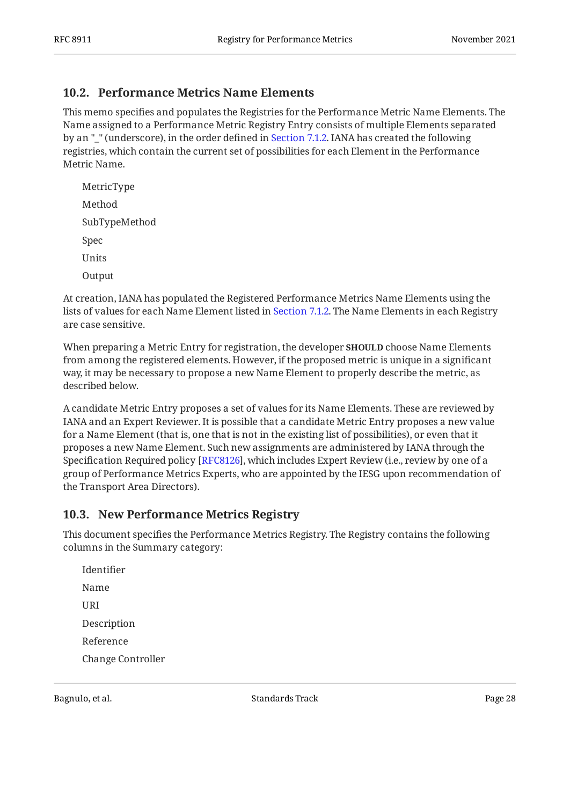### <span id="page-27-0"></span>**[10.2. Performance Metrics Name Elements](#page-27-0)**

This memo specifies and populates the Registries for the Performance Metric Name Elements. The Name assigned to a Performance Metric Registry Entry consists of multiple Elements separated by an "\_" (underscore), in the order defined in [Section 7.1.2](#page-12-0). IANA has created the following registries, which contain the current set of possibilities for each Element in the Performance Metric Name.

MetricType Method SubTypeMethod Spec Units **Output** 

At creation, IANA has populated the Registered Performance Metrics Name Elements using the lists of values for each Name Element listed in [Section 7.1.2.](#page-12-0) The Name Elements in each Registry are case sensitive.

When preparing a Metric Entry for registration, the developer **SHOULD** choose Name Elements from among the registered elements. However, if the proposed metric is unique in a significant way, it may be necessary to propose a new Name Element to properly describe the metric, as described below.

A candidate Metric Entry proposes a set of values for its Name Elements. These are reviewed by IANA and an Expert Reviewer. It is possible that a candidate Metric Entry proposes a new value for a Name Element (that is, one that is not in the existing list of possibilities), or even that it proposes a new Name Element. Such new assignments are administered by IANA through the Specification Required policy [RFC8126], which includes Expert Review (i.e., review by one of a group of Performance Metrics Experts, who are appointed by the IESG upon recommendation of the Transport Area Directors).

### <span id="page-27-1"></span>**[10.3. New Performance Metrics Registry](#page-27-1)**

This document specifies the Performance Metrics Registry. The Registry contains the following columns in the Summary category:

Identifier Name URI Description Reference Change Controller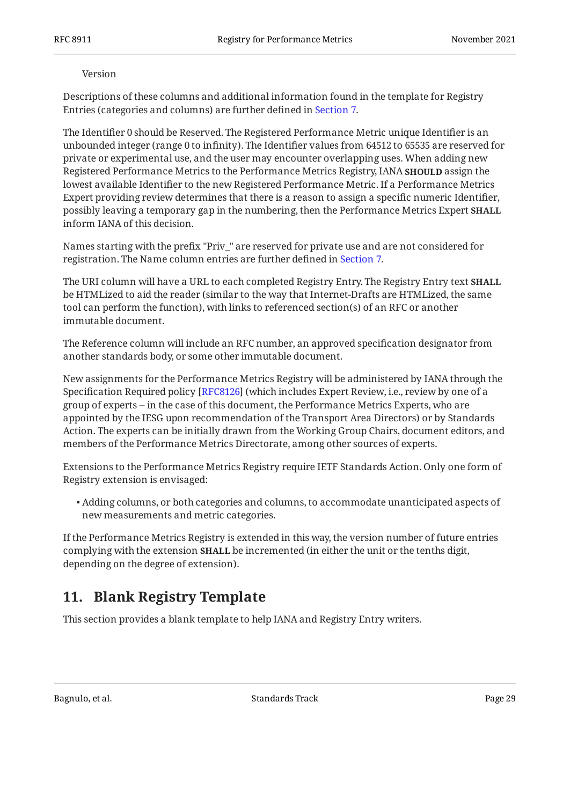#### Version

Descriptions of these columns and additional information found in the template for Registry Entries (categories and columns) are further defined in [Section 7.](#page-10-0)

The Identifier 0 should be Reserved. The Registered Performance Metric unique Identifier is an unbounded integer (range 0 to infinity). The Identifier values from 64512 to 65535 are reserved for private or experimental use, and the user may encounter overlapping uses. When adding new Registered Performance Metrics to the Performance Metrics Registry, IANA **SHOULD** assign the lowest available Identifier to the new Registered Performance Metric. If a Performance Metrics Expert providing review determines that there is a reason to assign a specific numeric Identifier, possibly leaving a temporary gap in the numbering, then the Performance Metrics Expert **SHALL** inform IANA of this decision.

Names starting with the prefix "Priv\_" are reserved for private use and are not considered for registration. The Name column entries are further defined in [Section 7](#page-10-0).

The URI column will have a URL to each completed Registry Entry. The Registry Entry text **SHALL** be HTMLized to aid the reader (similar to the way that Internet-Drafts are HTMLized, the same tool can perform the function), with links to referenced section(s) of an RFC or another immutable document.

The Reference column will include an RFC number, an approved specification designator from another standards body, or some other immutable document.

New assignments for the Performance Metrics Registry will be administered by IANA through the Specification Required policy [RFC8126] (which includes Expert Review, i.e., review by one of a group of experts -- in the case of this document, the Performance Metrics Experts, who are appointed by the IESG upon recommendation of the Transport Area Directors) or by Standards Action. The experts can be initially drawn from the Working Group Chairs, document editors, and members of the Performance Metrics Directorate, among other sources of experts.

Extensions to the Performance Metrics Registry require IETF Standards Action. Only one form of Registry extension is envisaged:

Adding columns, or both categories and columns, to accommodate unanticipated aspects of • new measurements and metric categories.

If the Performance Metrics Registry is extended in this way, the version number of future entries complying with the extension **SHALL** be incremented (in either the unit or the tenths digit, depending on the degree of extension).

## <span id="page-28-0"></span>**[11. Blank Registry Template](#page-28-0)**

This section provides a blank template to help IANA and Registry Entry writers.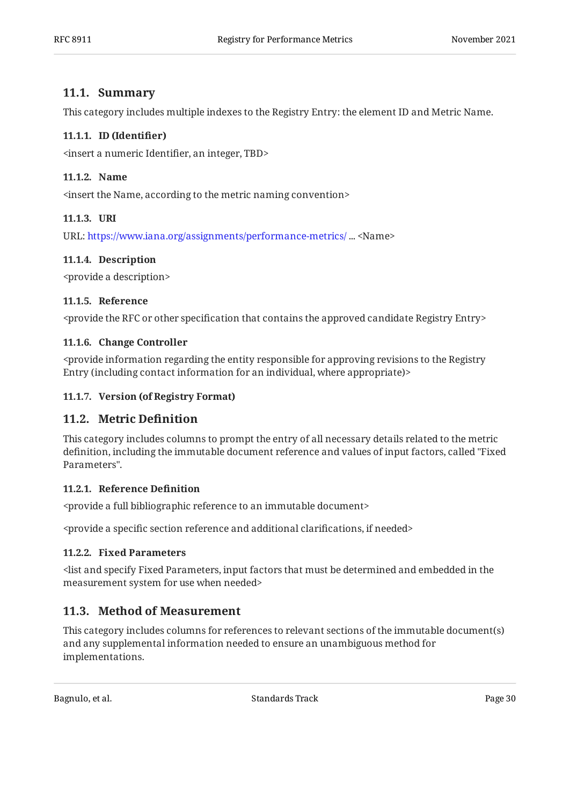### <span id="page-29-0"></span>**[11.1. Summary](#page-29-0)**

<span id="page-29-1"></span>This category includes multiple indexes to the Registry Entry: the element ID and Metric Name.

### **[11.1.1. ID \(Identi](#page-29-1)fier)**

<span id="page-29-2"></span><insert a numeric Identifier, an integer, TBD>

### **[11.1.2. Name](#page-29-2)**

<span id="page-29-3"></span><insert the Name, according to the metric naming convention>

### **[11.1.3. URI](#page-29-3)**

<span id="page-29-4"></span>URL:https://www.iana.org/assignments/performance-metrics/ ... <Name>

### **[11.1.4. Description](#page-29-4)**

<span id="page-29-5"></span><provide a description>

#### **[11.1.5. Reference](#page-29-5)**

<span id="page-29-6"></span><provide the RFC or other specification that contains the approved candidate Registry Entry>

### **[11.1.6. Change Controller](#page-29-6)**

<provide information regarding the entity responsible for approving revisions to the Registry Entry (including contact information for an individual, where appropriate)>

### <span id="page-29-8"></span><span id="page-29-7"></span>**[11.1.7. Version \(of Registry Format\)](#page-29-7)**

### **[11.2. Metric De](#page-29-8)finition**

This category includes columns to prompt the entry of all necessary details related to the metric definition, including the immutable document reference and values of input factors, called "Fixed Parameters".

#### <span id="page-29-9"></span>**[11.2.1. Reference De](#page-29-9)finition**

<provide a full bibliographic reference to an immutable document>

<span id="page-29-10"></span><provide a specific section reference and additional clarifications, if needed>

#### **[11.2.2. Fixed Parameters](#page-29-10)**

<list and specify Fixed Parameters, input factors that must be determined and embedded in the measurement system for use when needed>

### <span id="page-29-11"></span>**[11.3. Method of Measurement](#page-29-11)**

This category includes columns for references to relevant sections of the immutable document(s) and any supplemental information needed to ensure an unambiguous method for implementations.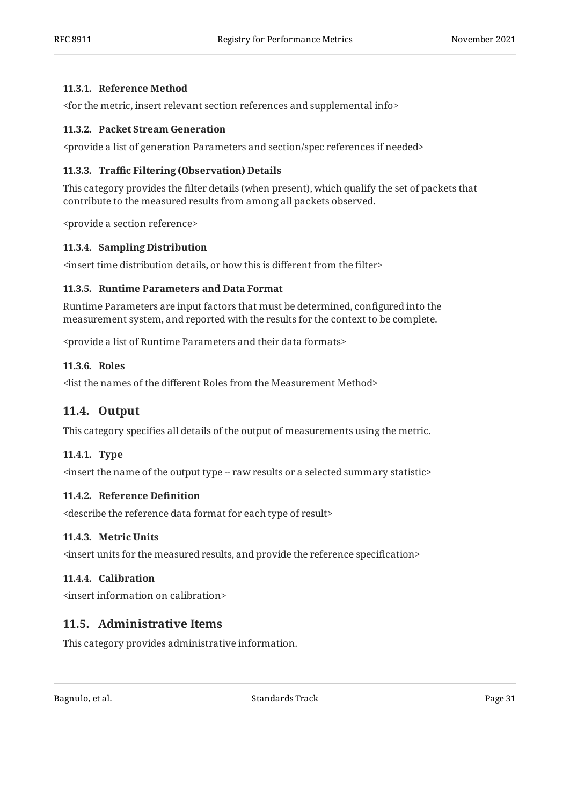#### <span id="page-30-0"></span>**[11.3.1. Reference Method](#page-30-0)**

<span id="page-30-1"></span><for the metric, insert relevant section references and supplemental info>

#### **[11.3.2. Packet Stream Generation](#page-30-1)**

<span id="page-30-2"></span><provide a list of generation Parameters and section/spec references if needed>

#### **[11.3.3.](#page-30-2) Traffi[c Filtering \(Observation\) Details](#page-30-2)**

This category provides the filter details (when present), which qualify the set of packets that contribute to the measured results from among all packets observed.

<span id="page-30-3"></span><provide a section reference>

#### **[11.3.4. Sampling Distribution](#page-30-3)**

<span id="page-30-4"></span><insert time distribution details, or how this is different from the filter>

#### **[11.3.5. Runtime Parameters and Data Format](#page-30-4)**

Runtime Parameters are input factors that must be determined, configured into the measurement system, and reported with the results for the context to be complete.

<span id="page-30-5"></span><provide a list of Runtime Parameters and their data formats>

### **[11.3.6. Roles](#page-30-5)**

<span id="page-30-6"></span><list the names of the different Roles from the Measurement Method>

### **[11.4. Output](#page-30-6)**

<span id="page-30-7"></span>This category specifies all details of the output of measurements using the metric.

#### **[11.4.1. Type](#page-30-7)**

<span id="page-30-8"></span><insert the name of the output type -- raw results or a selected summary statistic>

#### **[11.4.2. Reference De](#page-30-8)finition**

<span id="page-30-9"></span><describe the reference data format for each type of result>

#### **[11.4.3. Metric Units](#page-30-9)**

<span id="page-30-10"></span><insert units for the measured results, and provide the reference specification>

### **[11.4.4. Calibration](#page-30-10)**

<span id="page-30-11"></span><insert information on calibration>

### **[11.5. Administrative Items](#page-30-11)**

This category provides administrative information.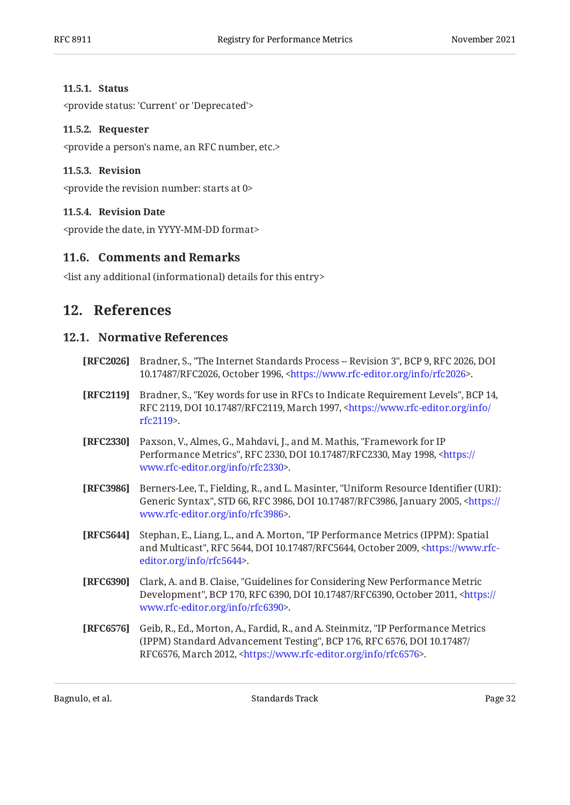### <span id="page-31-0"></span>**[11.5.1. Status](#page-31-0)**

<span id="page-31-1"></span><provide status: 'Current' or 'Deprecated'>

### **[11.5.2. Requester](#page-31-1)**

<span id="page-31-2"></span><provide a person's name, an RFC number, etc.>

### **[11.5.3. Revision](#page-31-2)**

<span id="page-31-3"></span><provide the revision number: starts at 0>

### **[11.5.4. Revision Date](#page-31-3)**

<span id="page-31-4"></span><provide the date, in YYYY-MM-DD format>

### **[11.6. Comments and Remarks](#page-31-4)**

<span id="page-31-5"></span><list any additional (informational) details for this entry>

## <span id="page-31-6"></span>**[12. References](#page-31-5)**

### **[12.1. Normative References](#page-31-6)**

- <span id="page-31-11"></span>**[RFC2026]** Bradner, S., "The Internet Standards Process -- Revision 3", BCP 9, RFC 2026, DOI 10.17487/RFC2026, October 1996, <https://www.rfc-editor.org/info/rfc2026>.
- <span id="page-31-8"></span>**[RFC2119]** Bradner, S., "Key words for use in RFCs to Indicate Requirement Levels", BCP 14, RFC 2119, DOI 10.17487/RFC2119, March 1997, [<https://www.rfc-editor.org/info/](https://www.rfc-editor.org/info/rfc2119) . [rfc2119](https://www.rfc-editor.org/info/rfc2119)>
- <span id="page-31-9"></span>**[RFC2330]** Paxson, V., Almes, G., Mahdavi, J., and M. Mathis, "Framework for IP Performance Metrics", RFC 2330, DOI 10.17487/RFC2330, May 1998, [<https://](https://www.rfc-editor.org/info/rfc2330) . [www.rfc-editor.org/info/rfc2330>](https://www.rfc-editor.org/info/rfc2330)
- <span id="page-31-13"></span>**[RFC3986]** Berners-Lee, T., Fielding, R., and L. Masinter, "Uniform Resource Identifier (URI): Generic Syntax", STD 66, RFC 3986, DOI 10.17487/RFC3986, January 2005, [<https://](https://www.rfc-editor.org/info/rfc3986) . [www.rfc-editor.org/info/rfc3986>](https://www.rfc-editor.org/info/rfc3986)
- <span id="page-31-12"></span>**[RFC5644]** Stephan, E., Liang, L., and A. Morton, "IP Performance Metrics (IPPM): Spatial and Multicast", RFC 5644, DOI 10.17487/RFC5644, October 2009, [<https://www.rfc-](https://www.rfc-editor.org/info/rfc5644). [editor.org/info/rfc5644](https://www.rfc-editor.org/info/rfc5644)>
- <span id="page-31-7"></span>**[RFC6390]** Clark, A. and B. Claise, "Guidelines for Considering New Performance Metric Development", BCP 170, RFC 6390, DOI 10.17487/RFC6390, October 2011, [<https://](https://www.rfc-editor.org/info/rfc6390) . [www.rfc-editor.org/info/rfc6390>](https://www.rfc-editor.org/info/rfc6390)
- <span id="page-31-10"></span>**[RFC6576]** Geib, R., Ed., Morton, A., Fardid, R., and A. Steinmitz, "IP Performance Metrics (IPPM) Standard Advancement Testing", BCP 176, RFC 6576, DOI 10.17487/ RFC6576, March 2012, <[https://www.rfc-editor.org/info/rfc6576>](https://www.rfc-editor.org/info/rfc6576).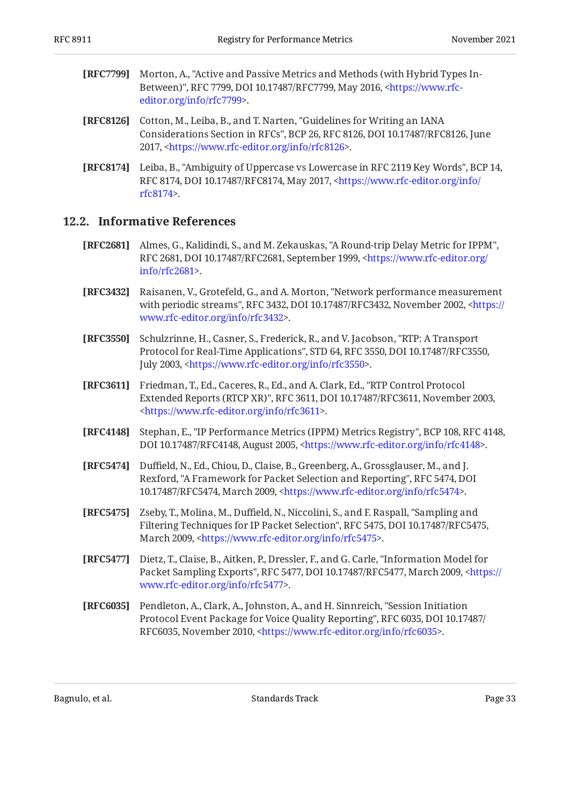- <span id="page-32-6"></span>**[RFC7799]** , Morton, A. "Active and Passive Metrics and Methods (with Hybrid Types In-Between)", RFC 7799, DOI 10.17487/RFC7799, May 2016, [<https://www.rfc-](https://www.rfc-editor.org/info/rfc7799). [editor.org/info/rfc7799](https://www.rfc-editor.org/info/rfc7799)>
- <span id="page-32-5"></span>**[RFC8126]** Cotton, M., Leiba, B., and T. Narten, "Guidelines for Writing an IANA Considerations Section in RFCs", BCP 26, RFC 8126, DOI 10.17487/RFC8126, June 2017, <https://www.rfc-editor.org/info/rfc8126>.
- <span id="page-32-4"></span>**[RFC8174]** Leiba, B., "Ambiguity of Uppercase vs Lowercase in RFC 2119 Key Words", BCP 14, RFC 8174, DOI 10.17487/RFC8174, May 2017, <[https://www.rfc-editor.org/info/](https://www.rfc-editor.org/info/rfc8174) . [rfc8174](https://www.rfc-editor.org/info/rfc8174)>

### <span id="page-32-0"></span>**[12.2. Informative References](#page-32-0)**

- <span id="page-32-7"></span>**[RFC2681]** Almes, G., Kalidindi, S., and M. Zekauskas, "A Round-trip Delay Metric for IPPM", RFC 2681, DOI 10.17487/RFC2681, September 1999, [<https://www.rfc-editor.org/](https://www.rfc-editor.org/info/rfc2681) . [info/rfc2681>](https://www.rfc-editor.org/info/rfc2681)
- <span id="page-32-9"></span>**[RFC3432]** Raisanen, V., Grotefeld, G., and A. Morton, "Network performance measurement with periodic streams", RFC 3432, DOI 10.17487/RFC3432, November 2002, [<https://](https://www.rfc-editor.org/info/rfc3432) . [www.rfc-editor.org/info/rfc3432>](https://www.rfc-editor.org/info/rfc3432)
- <span id="page-32-2"></span>**[RFC3550]** Schulzrinne, H., Casner, S., Frederick, R., and V. Jacobson, "RTP: A Transport Protocol for Real-Time Applications", STD 64, RFC 3550, DOI 10.17487/RFC3550, July 2003, <[https://www.rfc-editor.org/info/rfc3550>](https://www.rfc-editor.org/info/rfc3550).
- <span id="page-32-1"></span>**[RFC3611]** Friedman, T., Ed., Caceres, R., Ed., and A. Clark, Ed., "RTP Control Protocol Extended Reports (RTCP XR)", RFC 3611, DOI 10.17487/RFC3611, November 2003, . [<https://www.rfc-editor.org/info/rfc3611](https://www.rfc-editor.org/info/rfc3611)>
- <span id="page-32-8"></span>**[RFC4148]** Stephan, E., "IP Performance Metrics (IPPM) Metrics Registry", BCP 108, RFC 4148, DOI 10.17487/RFC4148, August 2005, [<https://www.rfc-editor.org/info/rfc4148](https://www.rfc-editor.org/info/rfc4148)>.
- <span id="page-32-11"></span>**[RFC5474]** Duffield, N., Ed., Chiou, D., Claise, B., Greenberg, A., Grossglauser, M., and J. Rexford, "A Framework for Packet Selection and Reporting", RFC 5474, DOI 10.17487/RFC5474, March 2009, <[https://www.rfc-editor.org/info/rfc5474>](https://www.rfc-editor.org/info/rfc5474).
- <span id="page-32-10"></span>**[RFC5475]** Zseby, T., Molina, M., Duffield, N., Niccolini, S., and F. Raspall, "Sampling and Filtering Techniques for IP Packet Selection", RFC 5475, DOI 10.17487/RFC5475, March 2009, [<https://www.rfc-editor.org/info/rfc5475](https://www.rfc-editor.org/info/rfc5475)>.
- <span id="page-32-12"></span>**[RFC5477]** Dietz, T., Claise, B., Aitken, P., Dressler, F., and G. Carle, "Information Model for Packet Sampling Exports", RFC 5477, DOI 10.17487/RFC5477, March 2009, [<https://](https://www.rfc-editor.org/info/rfc5477) . [www.rfc-editor.org/info/rfc5477>](https://www.rfc-editor.org/info/rfc5477)
- <span id="page-32-3"></span>**[RFC6035]** Pendleton, A., Clark, A., Johnston, A., and H. Sinnreich, "Session Initiation Protocol Event Package for Voice Quality Reporting", RFC 6035, DOI 10.17487/ RFC6035, November 2010, <https://www.rfc-editor.org/info/rfc6035>.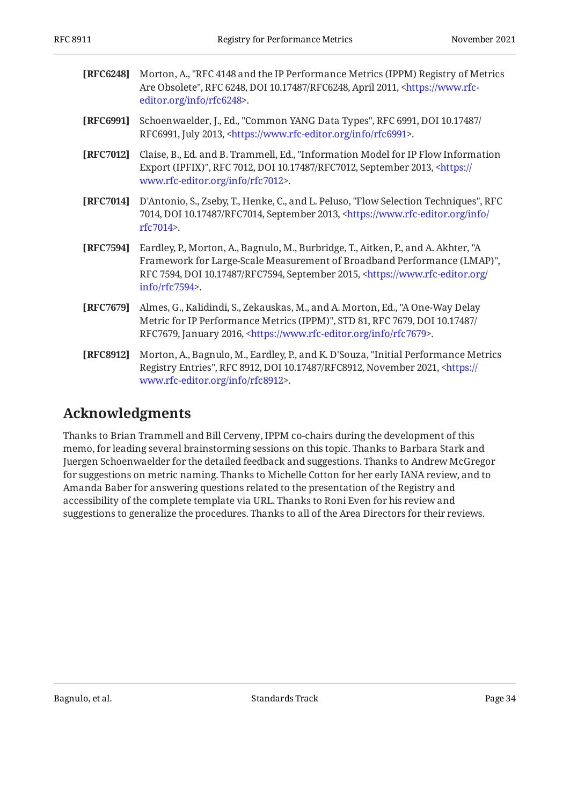<span id="page-33-2"></span>

| [RFC6248] Morton, A., "RFC 4148 and the IP Performance Metrics (IPPM) Registry of Metrics       |
|-------------------------------------------------------------------------------------------------|
| Are Obsolete", RFC 6248, DOI 10.17487/RFC6248, April 2011, <https: th="" www.rfc-<=""></https:> |
| editor.org/info/rfc6248>.                                                                       |

- <span id="page-33-7"></span>**[RFC6991]** Schoenwaelder, J., Ed., "Common YANG Data Types", RFC 6991, DOI 10.17487/ RFC6991, July 2013, <https://www.rfc-editor.org/info/rfc6991>.
- <span id="page-33-5"></span>**[RFC7012]** Claise, B., Ed. and B. Trammell, Ed., "Information Model for IP Flow Information Export (IPFIX)", RFC 7012, DOI 10.17487/RFC7012, September 2013, [<https://](https://www.rfc-editor.org/info/rfc7012) . [www.rfc-editor.org/info/rfc7012>](https://www.rfc-editor.org/info/rfc7012)
- <span id="page-33-6"></span>**[RFC7014]** D'Antonio, S., Zseby, T., Henke, C., and L. Peluso, "Flow Selection Techniques", RFC 7014, DOI 10.17487/RFC7014, September 2013, [<https://www.rfc-editor.org/info/](https://www.rfc-editor.org/info/rfc7014) . [rfc7014](https://www.rfc-editor.org/info/rfc7014)>
- <span id="page-33-4"></span>**[RFC7594]** Eardley, P., Morton, A., Bagnulo, M., Burbridge, T., Aitken, P., and A. Akhter, "A , Framework for Large-Scale Measurement of Broadband Performance (LMAP)" RFC 7594, DOI 10.17487/RFC7594, September 2015, [<https://www.rfc-editor.org/](https://www.rfc-editor.org/info/rfc7594) . [info/rfc7594>](https://www.rfc-editor.org/info/rfc7594)
- <span id="page-33-1"></span>**[RFC7679]** Almes, G., Kalidindi, S., Zekauskas, M., and A. Morton, Ed., "A One-Way Delay Metric for IP Performance Metrics (IPPM)", STD 81, RFC 7679, DOI 10.17487/ RFC7679, January 2016, <https://www.rfc-editor.org/info/rfc7679>.
- <span id="page-33-3"></span>**[RFC8912]** Morton, A., Bagnulo, M., Eardley, P., and K. D'Souza, "Initial Performance Metrics Registry Entries", RFC 8912, DOI 10.17487/RFC8912, November 2021, [<https://](https://www.rfc-editor.org/info/rfc8912) . [www.rfc-editor.org/info/rfc8912>](https://www.rfc-editor.org/info/rfc8912)

## <span id="page-33-0"></span>**[Acknowledgments](#page-33-0)**

Thanks to Brian Trammell and Bill Cerveny, IPPM co-chairs during the development of this memo, for leading several brainstorming sessions on this topic. Thanks to Barbara Stark and Juergen Schoenwaelder for the detailed feedback and suggestions. Thanks to Andrew McGregor for suggestions on metric naming. Thanks to Michelle Cotton for her early IANA review, and to Amanda Baber for answering questions related to the presentation of the Registry and accessibility of the complete template via URL. Thanks to Roni Even for his review and suggestions to generalize the procedures. Thanks to all of the Area Directors for their reviews.